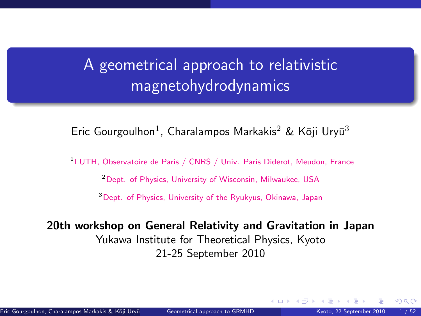### <span id="page-0-1"></span>A geometrical approach to relativistic magnetohydrodynamics

Eric Gourgoulhon<sup>1</sup>, Charalampos Markakis<sup>2</sup> & Kōji Uryū<sup>3</sup>

<sup>1</sup>LUTH, Observatoire de Paris / CNRS / Univ. Paris Diderot, Meudon, France

<sup>2</sup>Dept. of Physics, University of Wisconsin, Milwaukee, USA

<sup>3</sup>Dept. of Physics, University of the Ryukyus, Okinawa, Japan

20th workshop on General Relativity and Gravitation in Japan Yukawa Institute for Theoretical Physics, Kyoto 21-25 September 2010

<span id="page-0-0"></span> $\Omega$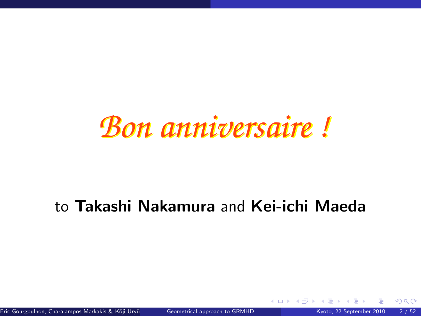# *Bon anniversaire !*

### to Takashi Nakamura and Kei-ichi Maeda

Eric Gourgoulhon, Charalampos Markakis & Kōji Uryū () [Geometrical approach to GRMHD](#page-0-0) Kyoto, 22 September 2010 2 / 52

4 0 8 4

 $\Omega$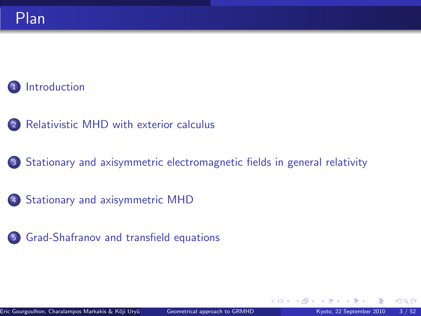#### **[Introduction](#page-3-0)**

- <sup>2</sup> [Relativistic MHD with exterior calculus](#page-8-0)
- <sup>3</sup> [Stationary and axisymmetric electromagnetic fields in general relativity](#page-18-0)
- <sup>4</sup> [Stationary and axisymmetric MHD](#page-32-0)
- <sup>5</sup> [Grad-Shafranov and transfield equations](#page-50-0)

 $\Omega$ 

**← ロ ▶ → イ 同**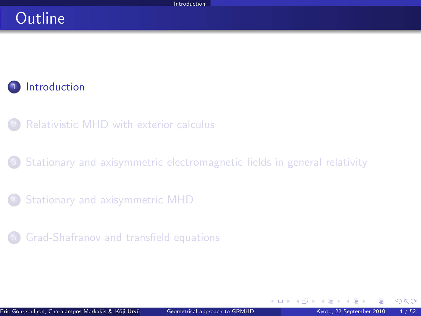#### **Outline**

#### **[Introduction](#page-3-0)**

- [Relativistic MHD with exterior calculus](#page-8-0)
- [Stationary and axisymmetric electromagnetic fields in general relativity](#page-18-0)
- [Stationary and axisymmetric MHD](#page-32-0)
- <sup>5</sup> [Grad-Shafranov and transfield equations](#page-50-0)

<span id="page-3-0"></span> $\Omega$ 

**K ロ ト K 何 ト**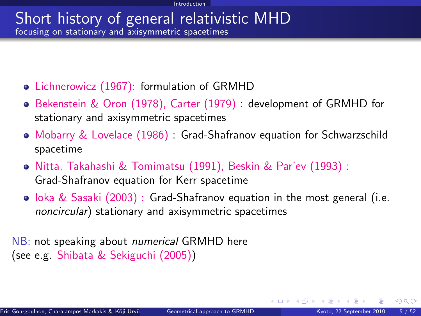#### Short history of general relativistic MHD focusing on stationary and axisymmetric spacetimes

- Lichnerowicz (1967): formulation of GRMHD
- Bekenstein & Oron (1978), Carter (1979) : development of GRMHD for stationary and axisymmetric spacetimes
- Mobarry & Lovelace (1986) : Grad-Shafranov equation for Schwarzschild spacetime
- Nitta, Takahashi & Tomimatsu (1991), Beskin & Par'ev (1993) : Grad-Shafranov equation for Kerr spacetime
- $\bullet$  loka & Sasaki (2003) : Grad-Shafranov equation in the most general (i.e. noncircular) stationary and axisymmetric spacetimes

NB: not speaking about *numerical* GRMHD here (see e.g. Shibata & Sekiguchi (2005))

 $\Omega$ 

**K ロ ト K 何 ト K 日**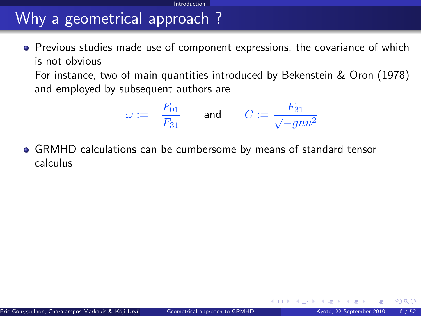# Why a geometrical approach ?

**•** Previous studies made use of component expressions, the covariance of which is not obvious

**Introduction** 

For instance, two of main quantities introduced by Bekenstein & Oron (1978) and employed by subsequent authors are

$$
\omega:=-\frac{F_{01}}{F_{31}}\qquad\text{and}\qquad C:=\frac{F_{31}}{\sqrt{-g}nu^2}
$$

GRMHD calculations can be cumbersome by means of standard tensor calculus

<span id="page-5-0"></span> $\Omega$ 

**← ロ ▶ → イ 同**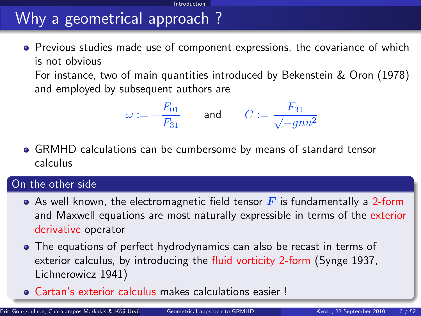# Why a geometrical approach ?

**•** Previous studies made use of component expressions, the covariance of which is not obvious

**Introduction** 

For instance, two of main quantities introduced by Bekenstein & Oron (1978) and employed by subsequent authors are

$$
\omega:=-\frac{F_{01}}{F_{31}}\qquad\text{and}\qquad C:=\frac{F_{31}}{\sqrt{-g}nu^2}
$$

GRMHD calculations can be cumbersome by means of standard tensor calculus

#### On the other side

- As well known, the electromagnetic field tensor  $\mathbf{F}$  is fundamentally a 2-form and Maxwell equations are most naturally expressible in terms of the exterior derivative operator
- The equations of perfect hydrodynamics can also be recast in terms of exterior calculus, by introducing the fluid vorticity 2-form (Synge 1937, Lichnerowicz 1941)
- Cartan's exterior calculus makes calculations eas[ier](#page-5-0) [!](#page-7-0)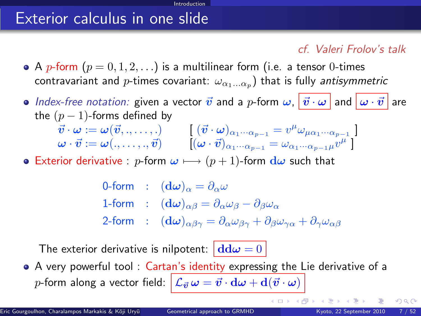### Exterior calculus in one slide

#### cf. Valeri Frolov's talk

• A p-form  $(p = 0, 1, 2, ...)$  is a multilinear form (i.e. a tensor 0-times contravariant and  $p$ -times covariant:  $\omega_{\alpha_1...\alpha_p})$  that is fully *antisymmetric* 

Introduction

 $\bullet$  Index-free notation: given a vector  $\vec{v}$  and a p-form  $\omega$ ,  $|\vec{v}\cdot\omega|$  and  $|\omega\cdot\vec{v}|$  are the  $(p-1)$ -forms defined by

$$
\begin{array}{ll}\n\vec{v} \cdot \omega := \omega(\vec{v}, \ldots, \ldots) & \left[ (\vec{v} \cdot \omega)_{\alpha_1 \cdots \alpha_{p-1}} = v^{\mu} \omega_{\mu \alpha_1 \cdots \alpha_{p-1}} \right] \\
\omega \cdot \vec{v} := \omega(\ldots, \ldots, \vec{v}) & \left[ (\omega \cdot \vec{v})_{\alpha_1 \cdots \alpha_{p-1}} = \omega_{\alpha_1 \cdots \alpha_{p-1} \mu} v^{\mu} \right]\n\end{array}
$$

**•** Exterior derivative : p-form  $\omega \mapsto (p+1)$ -form  $d\omega$  such that

0-form :  $(\mathbf{d}\omega)_{\alpha} = \partial_{\alpha}\omega$ 1-form :  $(d\omega)_{\alpha\beta} = \partial_{\alpha}\omega_{\beta} - \partial_{\beta}\omega_{\alpha}$ 2-form :  $(d\omega)_{\alpha\beta\gamma} = \partial_{\alpha}\omega_{\beta\gamma} + \partial_{\beta}\omega_{\gamma\alpha} + \partial_{\gamma}\omega_{\alpha\beta}$ 

The exterior derivative is nilpotent:  $\left| \frac{d d\omega}{ } \right| = 0$ 

A very powerful tool : Cartan's identity expressing the Lie derivative of a p-form along a vector field:  $\left|\mathcal{L}_{\vec{v}}\omega = \vec{v}\cdot \mathrm{d}\omega + \mathrm{d}(\vec{v}\cdot \omega)\right|$ 

**K ロ ト K 何 ト K 日** 

<span id="page-7-0"></span> $QQ$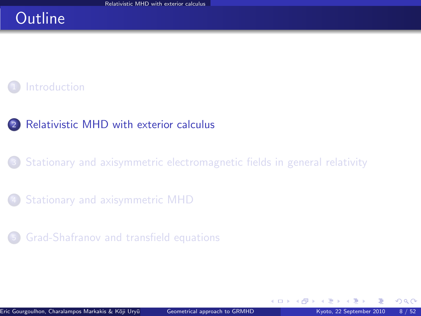### **Outline**

#### **[Introduction](#page-3-0)**

#### <sup>2</sup> [Relativistic MHD with exterior calculus](#page-8-0)

#### [Stationary and axisymmetric electromagnetic fields in general relativity](#page-18-0)

#### [Stationary and axisymmetric MHD](#page-32-0)

#### <sup>5</sup> [Grad-Shafranov and transfield equations](#page-50-0)

<span id="page-8-0"></span> $\Omega$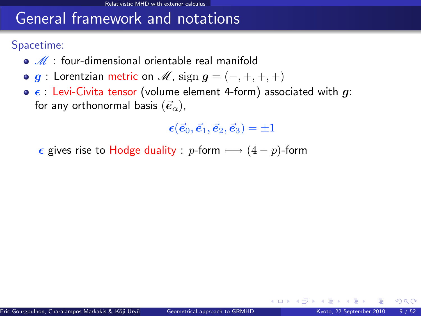### General framework and notations

Spacetime:

- $\bullet$   $\mathcal{M}$  : four-dimensional orientable real manifold
- $\bullet$  g : Lorentzian metric on  $\mathcal{M}$ , sign  $g = (-, +, +, +)$
- $\bullet$   $\epsilon$  : Levi-Civita tensor (volume element 4-form) associated with g: for any orthonormal basis  $(\vec{e}_{\alpha})$ ,

 $\epsilon(\vec{e}_0, \vec{e}_1, \vec{e}_2, \vec{e}_3) = \pm 1$ 

 $\epsilon$  gives rise to Hodge duality : p-form  $\longmapsto (4 - p)$ -form

 $\Omega$ 

**4 ロ ト 4 何 ト 4**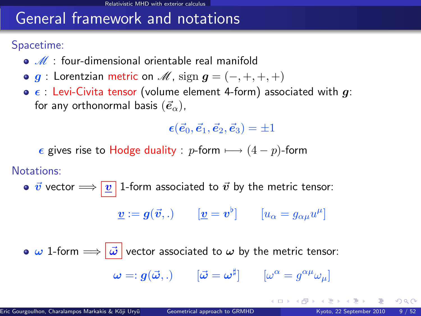### General framework and notations

Spacetime:

- $\bullet$   $\mathscr{M}$  : four-dimensional orientable real manifold
- $\bullet$  g : Lorentzian metric on  $\mathcal{M}$ , sign  $g = (-, +, +, +)$
- $\bullet$   $\epsilon$  : Levi-Civita tensor (volume element 4-form) associated with g: for any orthonormal basis  $(\vec{e}_{\alpha})$ ,

 $\epsilon(\vec{e}_0, \vec{e}_1, \vec{e}_2, \vec{e}_3) = \pm 1$ 

 $\epsilon$  gives rise to Hodge duality : p-form  $\longmapsto (4 - p)$ -form

Notations:

•  $\vec{v}$  vector  $\Longrightarrow$   $\boxed{v}$  1-form associated to  $\vec{v}$  by the metric tensor:

$$
\underline{\boldsymbol{v}}:=\boldsymbol{g}(\vec{\boldsymbol{v}},.)\qquad[\underline{\boldsymbol{v}}=\boldsymbol{v}^\flat]\qquad[u_\alpha=g_{\alpha\mu}u^\mu]
$$

 $\bullet \omega$  1-form  $\Longrightarrow |\vec{\omega}|$  vector associated to  $\omega$  by the metric tensor:  $\bm{\omega} =: \bm{g}(\vec{\bm{\omega}},.) \qquad [\vec{\bm{\omega}} = \bm{\omega}^\sharp] \qquad [\omega^\alpha = g^{\alpha\mu}\omega_\mu]$ 

 $\Omega$ 

メロト メ母 トメミト メミト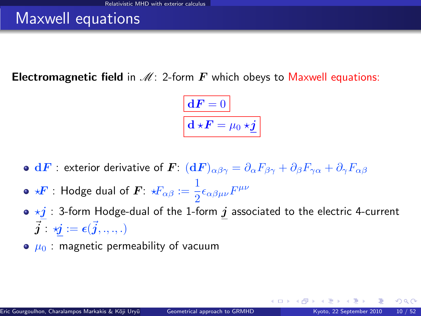### Maxwell equations

**Electromagnetic field** in  $\mathcal{M}$ : 2-form  $\mathbf{F}$  which obeys to Maxwell equations:

$$
\boxed{\mathbf{d} \mathbf{F} = 0}
$$

$$
\mathbf{d} \star \mathbf{F} = \mu_0 \star \underline{\mathbf{j}}
$$

- $\bullet\;{\bf d}F:$  exterior derivative of  $\bm F\colon\,({\bf d}F)_{\alpha\beta\gamma}=\partial_\alpha F_{\beta\gamma}+\partial_\beta F_{\gamma\alpha}+\partial_\gamma F_{\alpha\beta}$
- ?F : Hodge dual of F: ?Fαβ := 1  $\frac{1}{2}\epsilon_{\alpha\beta\mu\nu}F^{\mu\nu}$
- $\bullet \star j$  : 3-form Hodge-dual of the 1-form  $j$  associated to the electric 4-current  $\vec{\boldsymbol{j}}$  :  $\boldsymbol{\vec{y}}$   $:=$   $\boldsymbol{\epsilon}(\vec{\boldsymbol{j}}, ., ., .)$
- $\bullet$   $\mu_0$ : magnetic permeability of vacuum

**←ロ ▶ ← イ 同 →**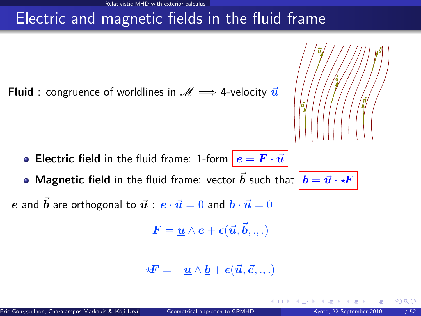### Electric and magnetic fields in the fluid frame

**Fluid** : congruence of worldlines in  $\mathcal{M} \implies$  4-velocity  $\vec{u}$ 



• Magnetic field in the fluid frame: vector  $\vec{b}$  such that  $\left| \,\underline{b} = \vec{u} \cdot \star \!\! F \,\right|$ 

e and  $\vec{b}$  are orthogonal to  $\vec{u}$  :  $e \cdot \vec{u} = 0$  and  $\vec{b} \cdot \vec{u} = 0$ 

$$
\boldsymbol{F} = \underline{\boldsymbol{u}} \wedge \boldsymbol{e} + \boldsymbol{\epsilon}(\vec{\boldsymbol{u}}, \vec{\boldsymbol{b}}, ..)
$$

$$
\star \boldsymbol{F} = -\underline{\boldsymbol{u}} \wedge \underline{\boldsymbol{b}} + \boldsymbol{\epsilon}(\vec{\boldsymbol{u}}, \vec{\boldsymbol{e}}, .., .)
$$

4 0 8

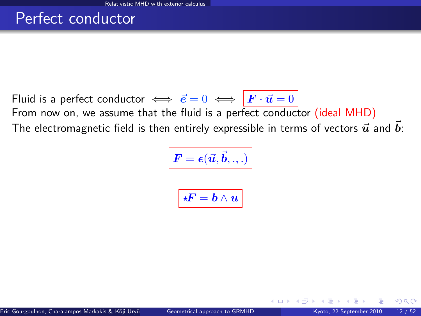#### Perfect conductor

Fluid is a perfect conductor  $\iff \vec{e} = 0 \iff \vec{F} \cdot \vec{u} = 0$ From now on, we assume that the fluid is a perfect conductor (ideal MHD) The electromagnetic field is then entirely expressible in terms of vectors  $\vec{u}$  and  $\vec{b}$ :

$$
\boxed{\bm{F} = \bm{\epsilon}(\vec{\bm{u}}, \vec{\bm{b}}, .., )}
$$

$$
\boxed{ \star \! \! \! F = \underline{b} \wedge \underline{u} }
$$

 $\Omega$ 

**← ロ ▶ → イ 同**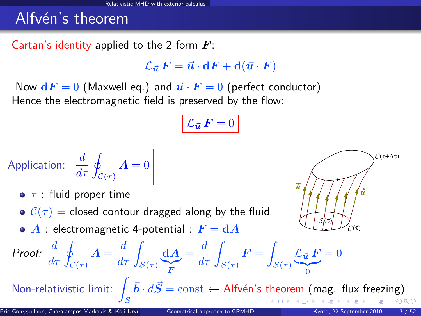### Alfvén's theorem

Cartan's identity applied to the 2-form  $\boldsymbol{F}$ :

 $\mathcal{L}_{\vec{u}}~F = \vec{u}\cdot dF + d(\vec{u}\cdot F)$ 

Now  $dF = 0$  (Maxwell eq.) and  $\vec{u} \cdot \vec{F} = 0$  (perfect conductor) Hence the electromagnetic field is preserved by the flow:

$$
\mathcal{L}_{\vec{\boldsymbol{u}}} \, \boldsymbol{F} = 0
$$

Application: 
$$
\frac{d}{d\tau} \oint_{\mathcal{C}(\tau)} \mathbf{A} = 0
$$

- $\bullet$   $\tau$  : fluid proper time
- $C(\tau)$  = closed contour dragged along by the fluid
- $\bullet$  A : electromagnetic 4-potential :  $F = dA$



Proof: 
$$
\frac{d}{d\tau} \oint_{\mathcal{C}(\tau)} \mathbf{A} = \frac{d}{d\tau} \int_{\mathcal{S}(\tau)} \underbrace{\mathbf{d} \mathbf{A}}_{\mathbf{F}} = \frac{d}{d\tau} \int_{\mathcal{S}(\tau)} \mathbf{F} = \int_{\mathcal{S}(\tau)} \underbrace{\mathcal{L}_{\vec{u}} \mathbf{F}}_{0} = 0
$$
  
\nNon-relativistic limit:  $\int_{\mathcal{S}} \vec{b} \cdot d\vec{S} = \text{const} \leftarrow \text{Alfvén's theorem (mag. flux freezing)}$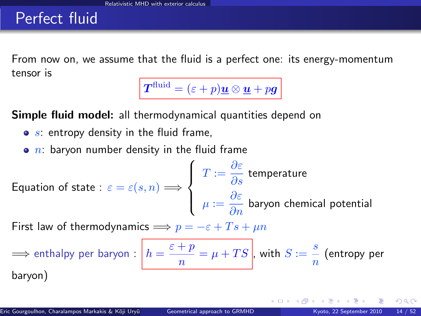#### Perfect fluid

From now on, we assume that the fluid is a perfect one: its energy-momentum tensor is

 $\boldsymbol{T}^{\text{fluid}} = (\varepsilon + p)\boldsymbol{\underline{u}} \otimes \boldsymbol{\underline{u}} + p\boldsymbol{g}$ 

Simple fluid model: all thermodynamical quantities depend on

- $\bullet$  s: entropy density in the fluid frame,
- $\bullet$  n: baryon number density in the fluid frame

Equation of state : 
$$
\varepsilon = \varepsilon(s, n) \Longrightarrow
$$
 
$$
\begin{cases} T := \frac{\partial \varepsilon}{\partial s} \text{ temperature} \\ \mu := \frac{\partial \varepsilon}{\partial n} \text{ baryon chemical potential} \end{cases}
$$

First law of thermodynamics  $\implies p = -\varepsilon + Ts + \mu n$ 

$$
\implies \text{enthalpy per baryon}: \boxed{h = \frac{\varepsilon + p}{n} = \mu + TS}, \text{ with } S := \frac{s}{n} \text{ (entropy per baryon)}
$$

 $\Omega$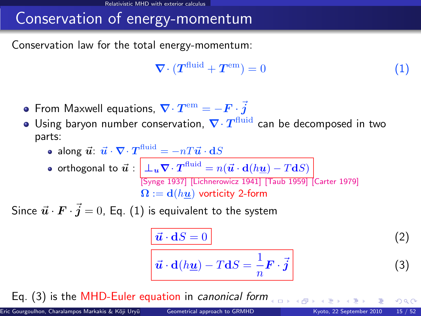### Conservation of energy-momentum

Conservation law for the total energy-momentum:

<span id="page-16-0"></span>
$$
\nabla \cdot (T^{\text{fluid}} + T^{\text{em}}) = 0 \tag{1}
$$

- From Maxwell equations,  $\boldsymbol{\nabla}\cdot\boldsymbol{T}^{\rm em}=-\boldsymbol{F}\cdot\boldsymbol{\vec{j}}$
- Using baryon number conservation,  $\nabla \cdot T^{\text{fluid}}$  can be decomposed in two parts:
	- along  $\vec{u} \colon \vec{u} \cdot \nabla \!\cdot T^\text{fluid} = -nT\vec{u} \cdot \mathbf{d}S$

• orthogonal to 
$$
\vec{u}
$$
 :  $\underline{\begin{bmatrix} \bot_u \nabla \cdot T^{\text{fluid}} = n(\vec{u} \cdot d(h\underline{u}) - T dS) \\ \text{[Synge 1937]} \text{ [Lichnerowicz 1941]} \text{ [Taub 1959]} \text{ [Carter 1979]} \end{bmatrix}}$   
 $\Omega := d(h\underline{u})$  vorticity 2-form

Since  $\vec{\bm{u}}\cdot\vec{\bm{F}}\cdot\vec{\bm{j}}=0$ , Eq.  $(1)$  is equivalent to the system

<span id="page-16-1"></span>
$$
\frac{\vec{u} \cdot dS = 0}{\vec{u} \cdot d(h\underline{u}) - T dS = \frac{1}{n} \mathbf{F} \cdot \vec{j}
$$
 (2)

Eq. [\(3\)](#page-16-1) is the MHD-Euler equation in canonical form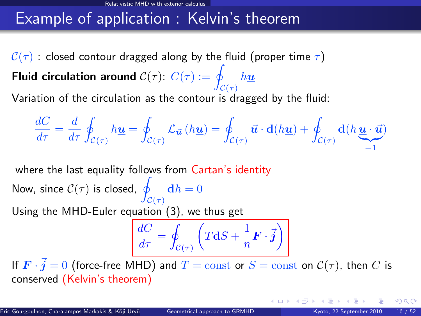### Example of application : Kelvin's theorem

 $C(\tau)$  : closed contour dragged along by the fluid (proper time  $\tau$ ) Fluid circulation around  $\mathcal{C}(\tau)$ :  $C(\tau) := q$  $\mathcal{C}(\tau)$  $h\underline{u}$ Variation of the circulation as the contour is dragged by the fluid:

$$
\frac{dC}{d\tau} = \frac{d}{d\tau} \oint_{\mathcal{C}(\tau)} h\underline{\mathbf{u}} = \oint_{\mathcal{C}(\tau)} \mathcal{L}_{\vec{\mathbf{u}}}\left(h\underline{\mathbf{u}}\right) = \oint_{\mathcal{C}(\tau)} \vec{\mathbf{u}} \cdot \mathbf{d}(h\underline{\mathbf{u}}) + \oint_{\mathcal{C}(\tau)} \mathbf{d}(h\underline{\mathbf{u}} \cdot \vec{\mathbf{u}})
$$

where the last equality follows from Cartan's identity

Now, since  $\mathcal{C}(\tau)$  is closed,  $\varphi$  $\mathcal{C}(\tau)$  $\mathbf{d}h = 0$ Using the MHD-Euler equation [\(3\)](#page-16-1), we thus get

<span id="page-17-0"></span>
$$
\frac{dC}{d\tau} = \oint_{\mathcal{C}(\tau)} \left( T\mathbf{d}S + \frac{1}{n}\mathbf{F} \cdot \vec{\mathbf{j}} \right)
$$

If  $\bm{F}\cdot\vec{\bm{j}}=0$  (force-free MHD) and  $T=\mathrm{const}$  or  $S=\mathrm{const}$  on  $\mathcal{C}(\tau),$  then  $C$  is conserved (Kelvin's theorem)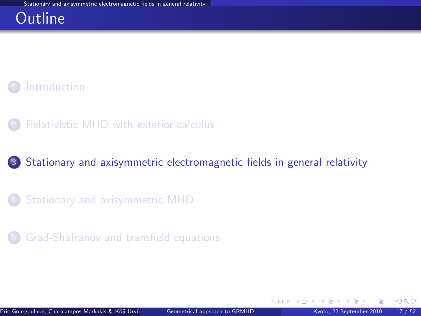#### **Outline**

#### **[Introduction](#page-3-0)**

[Relativistic MHD with exterior calculus](#page-8-0)

#### <sup>3</sup> [Stationary and axisymmetric electromagnetic fields in general relativity](#page-18-0)

- [Stationary and axisymmetric MHD](#page-32-0)
- <sup>5</sup> [Grad-Shafranov and transfield equations](#page-50-0)

**←ロ ▶ ← イ 同 →** 

<span id="page-18-0"></span> $QQ$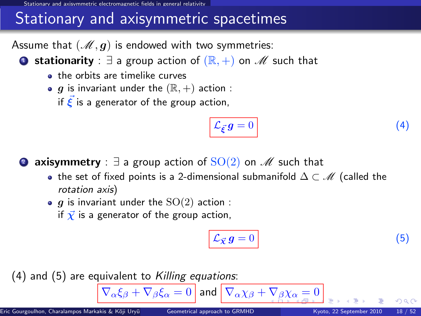### Stationary and axisymmetric spacetimes

Assume that  $(\mathcal{M}, g)$  is endowed with two symmetries:

**■ stationarity** :  $\exists$  a group action of  $(\mathbb{R}, +)$  on  $\mathcal{M}$  such that

- **a** the orbits are timelike curves
- $\bullet$  g is invariant under the  $(\mathbb{R}, +)$  action :

if  $\vec{\xi}$  is a generator of the group action,

<span id="page-19-1"></span>
$$
\mathcal{L}_{\vec{\xi}}g = 0 \tag{4}
$$

**2 axisymmetry** :  $\exists$  a group action of  $SO(2)$  on  $\mathscr{M}$  such that

- the set of fixed points is a 2-dimensional submanifold  $\Delta \subset \mathcal{M}$  (called the rotation axis)
- $\bullet$  g is invariant under the  $SO(2)$  action :
	- if  $\vec{\chi}$  is a generator of the group action,

<span id="page-19-2"></span><span id="page-19-0"></span>
$$
\mathcal{L}_{\vec{\mathcal{X}}} g = 0 \tag{5}
$$

 $(4)$  and  $(5)$  are equivalent to Killing equations:

$$
\nabla_{\alpha}\xi_{\beta} + \nabla_{\beta}\xi_{\alpha} = 0 \text{ and } \nabla_{\alpha}\chi_{\beta} + \nabla_{\beta}\chi_{\alpha} = 0
$$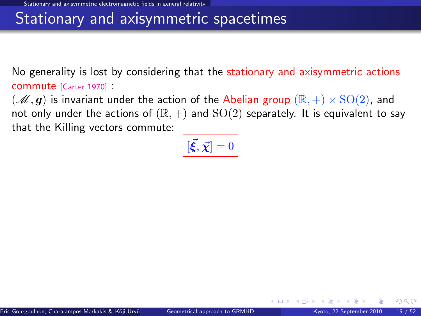#### Stationary and axisymmetric spacetimes

No generality is lost by considering that the stationary and axisymmetric actions commute [\[Carter 1970\]](#page-0-1) :

 $(\mathscr{M}, g)$  is invariant under the action of the Abelian group  $(\mathbb{R}, +) \times \text{SO}(2)$ , and not only under the actions of  $(\mathbb{R}, +)$  and  $SO(2)$  separately. It is equivalent to say that the Killing vectors commute:

$$
\left[ [\vec{\xi}, \vec{\chi}] = 0 \right]
$$

<span id="page-20-0"></span> $\Omega$ 

**←ロ ▶ ← イ 同 →**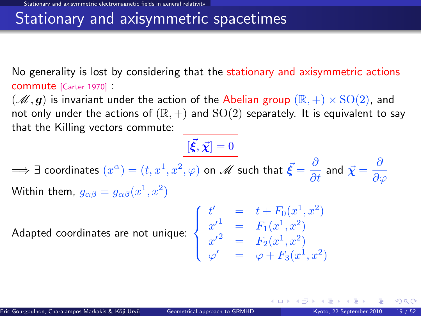#### Stationary and axisymmetric spacetimes

No generality is lost by considering that the stationary and axisymmetric actions commute [\[Carter 1970\]](#page-0-1) :

 $(\mathscr{M}, g)$  is invariant under the action of the Abelian group  $(\mathbb{R}, +) \times \text{SO}(2)$ , and not only under the actions of  $(\mathbb{R}, +)$  and  $SO(2)$  separately. It is equivalent to say that the Killing vectors commute:

 $[\vec{\xi}, \vec{\chi}] = 0$  $\implies$   $\exists$  coordinates  $(x^\alpha)=(t,x^1,x^2,\varphi)$  on  $\mathscr{M}$  such that  $\vec{\bm{\xi}}=\frac{\partial}{\partial t}$  and  $\vec{\bm{\chi}}=\frac{\partial}{\partial \vec{\gamma}}$  $\partial\varphi$ Within them,  $g_{\alpha\beta}=g_{\alpha\beta}(x^1,x^2)$ 

Adapted coordinates are not unique:  $\Big\}$ 

$$
\begin{cases}\n t' &= t + F_0(x^1, x^2) \\
 x'^1 &= F_1(x^1, x^2) \\
 x'^2 &= F_2(x^1, x^2) \\
 \varphi' &= \varphi + F_3(x^1, x^2)\n\end{cases}
$$

**4 ロ ト 4 何 ト 4** 

 $\Omega$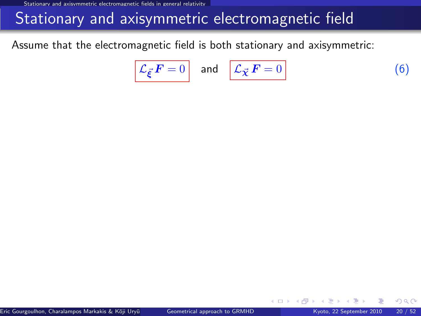### Stationary and axisymmetric electromagnetic field

Assume that the electromagnetic field is both stationary and axisymmetric:

<span id="page-22-0"></span>
$$
\mathcal{L}_{\vec{\xi}} F = 0 \quad \text{and} \quad \mathcal{L}_{\vec{\chi}} F = 0 \tag{6}
$$

**← ロ ▶ → イ 同** 

 $\Omega$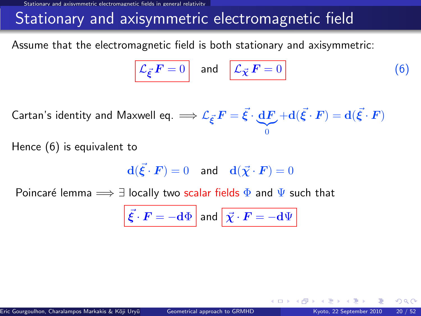### Stationary and axisymmetric electromagnetic field

Assume that the electromagnetic field is both stationary and axisymmetric:

$$
\mathcal{L}_{\vec{\xi}} \mathbf{F} = 0 \quad \text{and} \quad \boxed{\mathcal{L}_{\vec{\chi}} \mathbf{F} = 0} \tag{6}
$$

Cartan's identity and Maxwell eq.  $\Longrightarrow {\mathcal L}_{\vec{\xi}}\, F = \vec{\xi} \cdot \underbrace{{\rm d} F}$  $|{}_{0}$  $+ \mathbf{d}(\vec{\xi}\cdot\bm{F}) = \mathbf{d}(\vec{\xi}\cdot\bm{F})$ 

Hence [\(6\)](#page-22-0) is equivalent to

$$
\mathbf{d}(\vec{\xi} \cdot \boldsymbol{F}) = 0 \quad \text{and} \quad \mathbf{d}(\vec{\chi} \cdot \boldsymbol{F}) = 0
$$

Poincaré lemma  $\implies \exists$  locally two scalar fields  $\Phi$  and  $\Psi$  such that

$$
\vec{\xi} \cdot \vec{F} = -\mathrm{d}\Phi \text{ and } \vec{\chi} \cdot \vec{F} = -\mathrm{d}\Psi
$$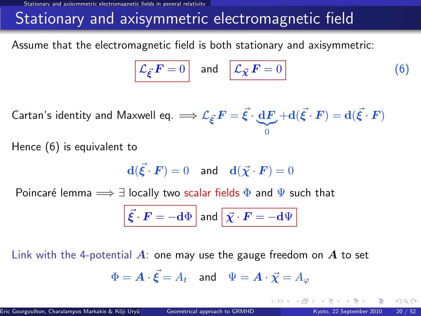### Stationary and axisymmetric electromagnetic field

Assume that the electromagnetic field is both stationary and axisymmetric:

$$
\mathcal{L}_{\vec{\xi}} \mathbf{F} = 0 \quad \text{and} \quad \boxed{\mathcal{L}_{\vec{\chi}} \mathbf{F} = 0} \tag{6}
$$

Cartan's identity and Maxwell eq.  $\Longrightarrow {\mathcal L}_{\vec{\xi}}\, F = \vec{\xi} \cdot \underbrace{{\rm d} F}$  $|{}_{0}$  $+ \mathbf{d}(\vec{\xi}\cdot\bm{F}) = \mathbf{d}(\vec{\xi}\cdot\bm{F})$ 

Hence [\(6\)](#page-22-0) is equivalent to

$$
\mathbf{d}(\vec{\xi} \cdot \boldsymbol{F}) = 0 \quad \text{and} \quad \mathbf{d}(\vec{\chi} \cdot \boldsymbol{F}) = 0
$$

Poincaré lemma  $\implies \exists$  locally two scalar fields  $\Phi$  and  $\Psi$  such that

$$
\vec{\xi} \cdot \vec{F} = -\mathrm{d}\Phi \text{ and } \vec{\chi} \cdot \vec{F} = -\mathrm{d}\Psi
$$

Link with the 4-potential  $\vec{A}$ : one may use the gauge freedom on  $\vec{A}$  to set

$$
\Phi = \boldsymbol{A} \cdot \vec{\boldsymbol{\xi}} = A_t \quad \text{and} \quad \Psi = \boldsymbol{A} \cdot \vec{\boldsymbol{\chi}} = A_\varphi
$$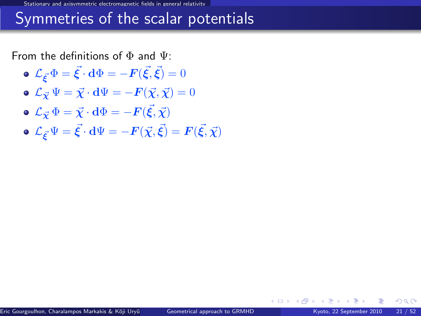#### Symmetries of the scalar potentials

From the definitions of  $\Phi$  and  $\Psi$ :

- $\mathcal{L}_{\vec{\boldsymbol{\xi}}}\Phi=\vec{\boldsymbol{\xi}}\cdot\mathbf{d}\Phi=-\boldsymbol{F}(\vec{\boldsymbol{\xi}},\vec{\boldsymbol{\xi}})=0$
- $\mathbf{L}_{\vec{X}}\Psi = \vec{X}\cdot d\Psi = -\mathbf{F}(\vec{X},\vec{X}) = 0$
- $\mathcal{L}_{\vec{\boldsymbol\chi}}\,\Phi=\vec{\boldsymbol\chi}\cdot{\bf d}\Phi=-{\boldsymbol F}(\vec{\boldsymbol\xi},\vec{\boldsymbol\chi})$
- $\mathcal{L}_{\vec{\bm{\xi}}} \Psi = \vec{\bm{\xi}} \cdot \mathbf{d} \Psi = -\bm{F}(\vec{\chi},\vec{\bm{\xi}}) = \bm{F}(\vec{\bm{\xi}},\vec{\chi})$

 $\Omega$ 

**←ロ ▶ ← イ 同 →**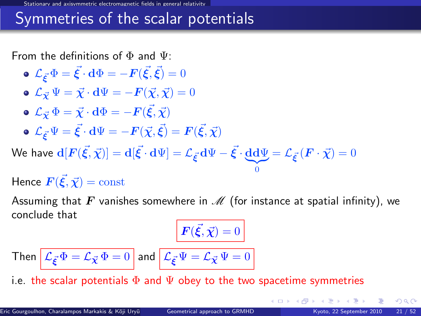#### Symmetries of the scalar potentials

From the definitions of  $\Phi$  and  $\Psi$ :

\n- \n
$$
\mathcal{L}_{\vec{\xi}} \Phi = \vec{\xi} \cdot d\Phi = -F(\vec{\xi}, \vec{\xi}) = 0
$$
\n
\n- \n
$$
\mathcal{L}_{\vec{\chi}} \Psi = \vec{\chi} \cdot d\Psi = -F(\vec{\chi}, \vec{\chi}) = 0
$$
\n
\n- \n
$$
\mathcal{L}_{\vec{\chi}} \Phi = \vec{\chi} \cdot d\Phi = -F(\vec{\xi}, \vec{\chi})
$$
\n
\n- \n
$$
\mathcal{L}_{\vec{\xi}} \Psi = \vec{\xi} \cdot d\Psi = -F(\vec{\chi}, \vec{\xi}) = F(\vec{\xi}, \vec{\chi})
$$
\n
\n- \n
$$
\mathcal{L}_{\vec{\xi}} \Psi = \vec{\xi} \cdot d\Psi = -F(\vec{\chi}, \vec{\xi}) = F(\vec{\xi}, \vec{\chi})
$$
\n
\n- \n
$$
\mathcal{L}_{\vec{\xi}} \Psi = \vec{\xi} \cdot d\Psi = -F(\vec{\chi}, \vec{\xi}) = F(\vec{\xi}, \vec{\chi})
$$
\n
\n

We have  $\mathbf{d}[F(\vec{\xi},\vec{\chi})] = \mathbf{d}[\vec{\xi}\cdot\mathbf{d}\Psi] = \mathcal{L}_{\vec{\xi}}\cdot\mathbf{d}\Psi - \vec{\xi}\cdot\underbrace{\mathbf{d}\mathbf{d}\Psi}_{0} = \mathcal{L}_{\vec{\xi}}\cdot\left(\bm{F}\cdot\vec{\chi}\right) = 0$ 

Hence  $\vec{F}(\vec{\xi}, \vec{\chi}) = \mathrm{const}$ 

Assuming that F vanishes somewhere in  $\mathcal M$  (for instance at spatial infinity), we conclude that

0

$$
\mathbf{F}(\vec{\xi}, \vec{\chi}) = 0
$$

Then 
$$
\mathcal{L}_{\vec{\xi}} \Phi = \mathcal{L}_{\vec{\chi}} \Phi = 0
$$
 and  $\mathcal{L}_{\vec{\xi}} \Psi = \mathcal{L}_{\vec{\chi}} \Psi = 0$ 

i.e. the scalar potentials  $\Phi$  and  $\Psi$  obey to the two spacetime symmetries

<span id="page-26-0"></span> $\Omega$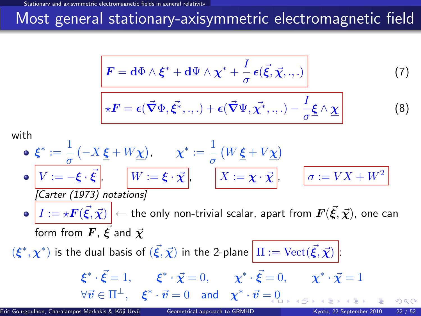### Most general stationary-axisymmetric electromagnetic field

$$
\mathbf{F} = \mathbf{d}\Phi \wedge \boldsymbol{\xi}^* + \mathbf{d}\Psi \wedge \boldsymbol{\chi}^* + \frac{I}{\sigma} \boldsymbol{\epsilon}(\vec{\xi}, \vec{\chi}, \cdot, \cdot) \tag{7}
$$

$$
\ast \boldsymbol{F} = \boldsymbol{\epsilon}(\vec{\boldsymbol{\nabla}} \Phi, \vec{\boldsymbol{\xi}^*}, \ldots) + \boldsymbol{\epsilon}(\vec{\boldsymbol{\nabla}} \Psi, \vec{\boldsymbol{\chi}^*}, \ldots) - \frac{I}{\sigma} \boldsymbol{\underline{\xi}} \wedge \underline{\boldsymbol{\chi}}
$$

with

$$
\begin{aligned}\n\mathbf{e} \quad & \xi^* := \frac{1}{\sigma} \left( -X \, \underline{\xi} + W \underline{\chi} \right), \qquad \chi^* := \frac{1}{\sigma} \left( W \, \underline{\xi} + V \underline{\chi} \right) \\
& \mathbf{e} \quad \boxed{V := -\underline{\xi} \cdot \vec{\xi}}, \qquad \boxed{W := \underline{\xi} \cdot \vec{\chi}}, \qquad \boxed{X := \underline{\chi} \cdot \vec{\chi}}, \qquad \boxed{\sigma := VX + W^2} \\
\text{[Carter (1973) notations]} \\
& \mathbf{e} \quad \boxed{I := \star \mathbf{F}(\vec{\xi}, \vec{\chi})} \leftarrow \text{the only non-trivial scalar, apart from } \mathbf{F}(\vec{\xi}, \vec{\chi}), \text{ one can form from } \mathbf{F}, \, \vec{\xi} \text{ and } \vec{\chi} \\
& (\xi^*, \chi^*) \text{ is the dual basis of } (\vec{\xi}, \vec{\chi}) \text{ in the 2-plane } \boxed{\Pi := \text{Vect}(\vec{\xi}, \vec{\chi})} \\
& \xi^* \cdot \vec{\xi} = 1, \qquad \xi^* \cdot \vec{\chi} = 0, \qquad \chi^* \cdot \vec{\xi} = 0, \qquad \chi^* \cdot \vec{\chi} = 1 \\
& \forall \vec{v} \in \Pi^\perp, \quad \xi^* \cdot \vec{v} = 0 \quad \text{and} \quad \chi^* \cdot \vec{v} = 0\n\end{aligned}
$$

Eric Gourgoulhon, Charalampos Markakis & Kōji Uryū () [Geometrical approach to GRMHD](#page-0-0) Kyoto, 22 September 2010 22 / 52

<span id="page-27-2"></span><span id="page-27-1"></span><span id="page-27-0"></span> $(8)$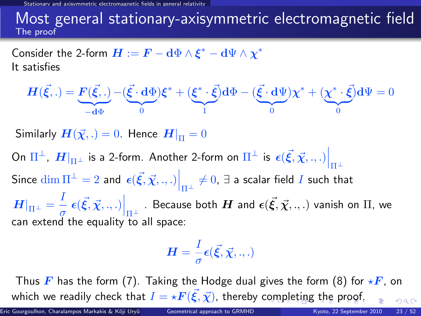Stationarie fields in general relativit

#### Most general stationary-axisymmetric electromagnetic field The proof

Consider the 2-form  $\boldsymbol{H}:=\boldsymbol{F}-\mathbf{d}\Phi\wedge\boldsymbol{\xi}^*-\mathbf{d}\Psi\wedge\boldsymbol{\chi}^*$ It satisfies

$$
\boldsymbol{H}(\vec{\xi},.) = \underbrace{\boldsymbol{F}(\vec{\xi},.)}_{-\mathbf{d}\Phi} - (\underbrace{\vec{\xi} \cdot \mathbf{d}\Phi}_{0})\boldsymbol{\xi}^* + (\underbrace{\boldsymbol{\xi}^* \cdot \vec{\xi}}_{1})\mathbf{d}\Phi - (\underbrace{\vec{\xi} \cdot \mathbf{d}\Psi}_{0})\boldsymbol{\chi}^* + (\underbrace{\boldsymbol{\chi}^* \cdot \vec{\xi}}_{0})\mathbf{d}\Psi = 0
$$

Similarly  $H(\vec{\chi},.)=0$ . Hence  $H|_{\Pi}=0$ 

On  $\Pi^\perp$ ,  $\left. H \right|_{\Pi^\perp}$  is a 2-form. Another 2-form on  $\Pi^\perp$  is  $\left. \epsilon (\vec{\xi},\vec{\chi},.,.) \right|_{\Pi^\perp}$ Since  $\dim \Pi^\perp = 2$  and  $\left. \epsilon(\vec{\xi},\vec{\chi}, ., .) \right|_{\Pi^\perp} \neq 0, \, \exists$  a scalar field  $I$  such that  $\left. H \right|_{\Pi^{\pm}} = \frac{I}{\sigma}$  $\left. \frac{1}{\sigma}\right\vert \epsilon(\vec{\xi},\vec{\chi},.,.)\Big|_{\Pi^{\perp}}$  . Because both  $H$  and  $\epsilon(\vec{\xi},\vec{\chi},.,.)$  vanish on  $\Pi$ , we can extend the equality to all space:

<span id="page-28-0"></span>
$$
\boldsymbol{H}=\frac{I}{\sigma}\boldsymbol{\epsilon}(\vec{\boldsymbol{\xi}},\vec{\boldsymbol{\chi}},.,.)
$$

Thus F has the form [\(7\)](#page-27-1). Taking the Hodge dual gives the form [\(8\)](#page-27-2) for  $\star$ F, on which we readily check [t](#page-27-0)[h](#page-18-0)at  $I = \star \boldsymbol{F}(\vec{\xi},\vec{\chi})$  $I = \star \boldsymbol{F}(\vec{\xi},\vec{\chi})$  $I = \star \boldsymbol{F}(\vec{\xi},\vec{\chi})$ , thereby c[om](#page-27-0)[ple](#page-29-0)t[in](#page-28-0)[g](#page-29-0) [t](#page-17-0)he [p](#page-32-0)[ro](#page-17-0)[o](#page-18-0)[f](#page-31-0)[.](#page-32-0)  $\Omega$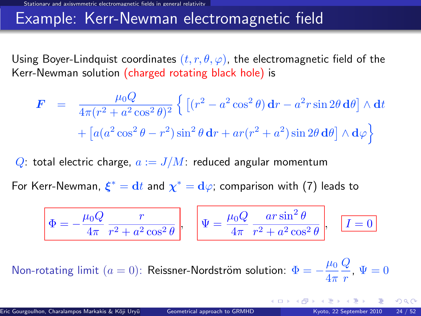#### Example: Kerr-Newman electromagnetic field

Using Boyer-Lindquist coordinates  $(t, r, \theta, \varphi)$ , the electromagnetic field of the Kerr-Newman solution (charged rotating black hole) is

$$
\mathbf{F} = \frac{\mu_0 Q}{4\pi (r^2 + a^2 \cos^2 \theta)^2} \left\{ \left[ (r^2 - a^2 \cos^2 \theta) \mathbf{d}r - a^2 r \sin 2\theta \mathbf{d}\theta \right] \wedge \mathbf{d}t + \left[ a(a^2 \cos^2 \theta - r^2) \sin^2 \theta \mathbf{d}r + ar(r^2 + a^2) \sin 2\theta \mathbf{d}\theta \right] \wedge \mathbf{d}\varphi \right\}
$$

Q: total electric charge,  $a := J/M$ : reduced angular momentum

For Kerr-Newman,  $\xi^* = \mathrm{d}t$  and  $\chi^* = \mathrm{d}\varphi$ ; comparison with [\(7\)](#page-27-1) leads to

<span id="page-29-0"></span>
$$
\Phi = -\frac{\mu_0 Q}{4\pi} \frac{r}{r^2 + a^2 \cos^2 \theta}, \quad \Psi = \frac{\mu_0 Q}{4\pi} \frac{ar \sin^2 \theta}{r^2 + a^2 \cos^2 \theta}, \quad \boxed{I = 0}
$$

Non-rotating limit  $(a = 0)$ : Reissner-Nordström solution:  $\Phi = -\frac{\mu_0}{4}$  $4\pi$  $\overline{Q}$  $\frac{q}{r}$ ,  $\Psi = 0$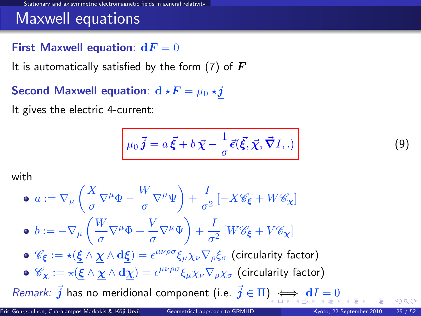#### Maxwell equations

#### First Maxwell equation:  $dF = 0$

It is automatically satisfied by the form [\(7\)](#page-27-1) of  $\bm{F}$ 

Second Maxwell equation:  $d \star F = \mu_0 \star j$ 

It gives the electric 4-current:

$$
\mu_0 \vec{j} = a \vec{\xi} + b \vec{\chi} - \frac{1}{\sigma} \vec{\epsilon}(\vec{\xi}, \vec{\chi}, \vec{\nabla} I, .)
$$
\n(9)

with

• 
$$
a := \nabla_{\mu} \left( \frac{X}{\sigma} \nabla^{\mu} \Phi - \frac{W}{\sigma} \nabla^{\mu} \Psi \right) + \frac{I}{\sigma^2} \left[ -X \mathcal{C}_{\xi} + W \mathcal{C}_{\chi} \right]
$$
  
\n•  $b := -\nabla_{\mu} \left( \frac{W}{\sigma} \nabla^{\mu} \Phi + \frac{V}{\sigma} \nabla^{\mu} \Psi \right) + \frac{I}{\sigma^2} \left[ W \mathcal{C}_{\xi} + V \mathcal{C}_{\chi} \right]$   
\n•  $\mathcal{C}_{\xi} := \star \left( \underline{\xi} \wedge \underline{\chi} \wedge d \underline{\xi} \right) = \epsilon^{\mu \nu \rho \sigma} \xi_{\mu} \chi_{\nu} \nabla_{\rho} \xi_{\sigma}$  (circularity factor)  
\n•  $\mathcal{C}_{\chi} := \star \left( \underline{\xi} \wedge \underline{\chi} \wedge d \underline{\chi} \right) = \epsilon^{\mu \nu \rho \sigma} \xi_{\mu} \chi_{\nu} \nabla_{\rho} \chi_{\sigma}$  (circularity factor)  
\n*Remark:*  $\vec{j}$  has no meridional component (i.e.  $\vec{j} \in \Pi$ )  $\iff d \vec{f} = 0$ 

<span id="page-30-0"></span> $\sim$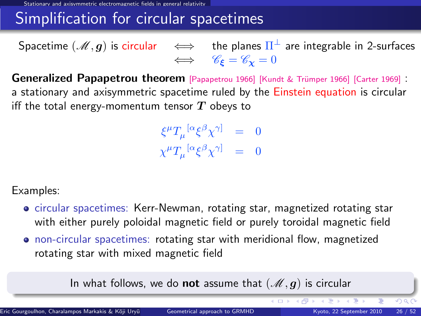### Simplification for circular spacetimes

Spacetime  $(\mathscr{M},\bm{g})$  is circular  $\quad\iff\quad$  the planes  $\Pi^\perp$  are integrable in 2-surfaces  $\iff$   $\mathscr{C}_{\epsilon} = \mathscr{C}_{\mathbf{v}} = 0$ 

Generalized Papapetrou theorem [\[Papapetrou 1966\]](#page-0-1) [Kundt & Trümper 1966] [\[Carter 1969\]](#page-0-1) : a stationary and axisymmetric spacetime ruled by the Einstein equation is circular iff the total energy-momentum tensor  $T$  obeys to

> $\xi^\mu T_\mu^{~[\alpha}\xi^\beta\chi^{\gamma]} ~=~ 0$  $\chi^\mu T_\mu{}^{[\alpha} \xi^\beta \chi^{\gamma]} \;\;=\;\;0$

Examples:

- circular spacetimes: Kerr-Newman, rotating star, magnetized rotating star with either purely poloidal magnetic field or purely toroidal magnetic field
- non-circular spacetimes: rotating star with meridional flow, magnetized rotating star with mixed magnetic field

In what follows, we do not assume that  $(\mathcal{M}, g)$  is circular

<span id="page-31-0"></span>イロト イ部 トイモ トイモン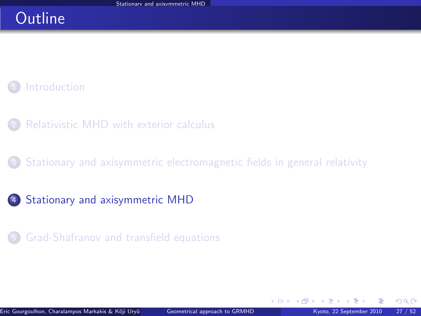### **Outline**

#### **[Introduction](#page-3-0)**

- [Relativistic MHD with exterior calculus](#page-8-0)
- [Stationary and axisymmetric electromagnetic fields in general relativity](#page-18-0)
- <sup>4</sup> [Stationary and axisymmetric MHD](#page-32-0)
	- <sup>5</sup> [Grad-Shafranov and transfield equations](#page-50-0)

**←ロ ▶ ← イ 同 →** 

<span id="page-32-0"></span> $QQ$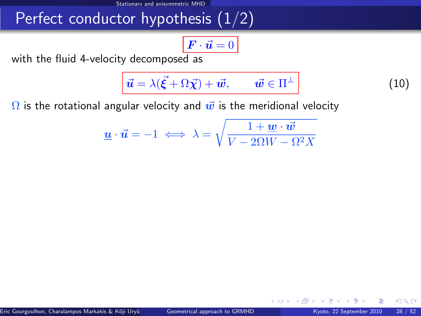### Perfect conductor hypothesis  $(1/2)$

$$
\boxed{\boldsymbol{F}\cdot\vec{\boldsymbol{u}}=0}
$$

with the fluid 4-velocity decomposed as

$$
\vec{u} = \lambda(\vec{\xi} + \Omega \vec{\chi}) + \vec{w}, \qquad \vec{w} \in \Pi^{\perp}
$$
 (10)

<span id="page-33-0"></span>**∢ ロ ▶ 《 何** 

 $\Omega$  is the rotational angular velocity and  $\vec{w}$  is the meridional velocity

$$
\underline{\boldsymbol{u}}\cdot\vec{\boldsymbol{u}}=-1\iff\lambda=\sqrt{\frac{1+\underline{\boldsymbol{w}}\cdot\vec{\boldsymbol{w}}}{V-2\Omega W-\Omega^2X}}
$$

 $\Omega$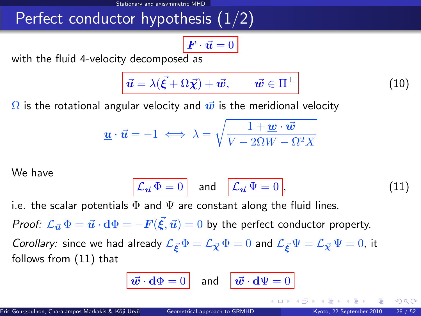### Perfect conductor hypothesis (1/2)

$$
\boxed{\boldsymbol{F}\cdot\vec{\boldsymbol{u}}=0}
$$

with the fluid 4-velocity decomposed as

$$
\vec{u} = \lambda(\vec{\xi} + \Omega \vec{\chi}) + \vec{w}, \qquad \vec{w} \in \Pi^{\perp}
$$
 (10)

 $\Omega$  is the rotational angular velocity and  $\vec{w}$  is the meridional velocity

$$
\underline{\boldsymbol{u}}\cdot\vec{\boldsymbol{u}}=-1\iff\lambda=\sqrt{\frac{1+\underline{\boldsymbol{w}}\cdot\vec{\boldsymbol{w}}}{V-2\Omega W-\Omega^2X}}
$$

We have

$$
\mathcal{L}_{\vec{u}}\,\Phi=0\quad\text{and}\quad\boxed{\mathcal{L}_{\vec{u}}\,\Psi=0},\tag{11}
$$

i.e. the scalar potentials  $\Phi$  and  $\Psi$  are constant along the fluid lines.

*Proof:*  $\mathcal{L}_{\vec{u}}\,\Phi=\vec{u}\cdot\mathrm{d}\Phi=-F(\vec{\xi},\vec{u})=0$  *by the perfect conductor property.* 

Corollary: since we had already  $\mathcal{L}_{\vec{\kappa}}\Phi = \mathcal{L}_{\vec{\chi}}\Phi = 0$  and  $\mathcal{L}_{\vec{\kappa}}\Psi = \mathcal{L}_{\vec{\chi}}\Psi = 0$ , it follows from [\(11\)](#page-33-0) that

$$
\boxed{\vec{\boldsymbol{w}}\cdot \mathbf{d}\Phi=0\quad \text{and} \quad \boxed{\vec{\boldsymbol{w}}\cdot \mathbf{d}\Psi=0}
$$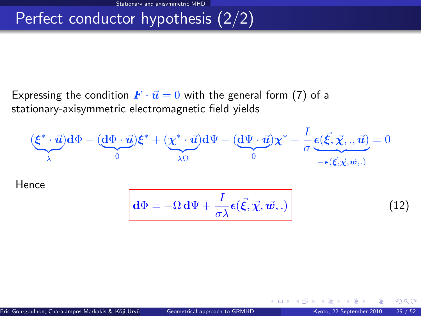## Perfect conductor hypothesis (2/2)

Expressing the condition  $\vec{F} \cdot \vec{u} = 0$  with the general form [\(7\)](#page-27-1) of a stationary-axisymmetric electromagnetic field yields

$$
(\underbrace{\xi^* \cdot \vec{u}}_{\lambda}) d\Phi - (\underbrace{d\Phi \cdot \vec{u}}_{0}) \xi^* + (\underbrace{\chi^* \cdot \vec{u}}_{\lambda \Omega}) d\Psi - (\underbrace{d\Psi \cdot \vec{u}}_{0}) \chi^* + \frac{I}{\sigma} \underbrace{\epsilon(\vec{\xi}, \vec{\chi}, \cdot, \vec{u})}_{-\epsilon(\vec{\xi}, \vec{\chi}, \vec{w}, \cdot)} = 0
$$

Hence

$$
\boxed{\mathbf{d}\Phi = -\Omega \, \mathbf{d}\Psi + \frac{I}{\sigma\lambda} \boldsymbol{\epsilon}(\vec{\xi}, \vec{\chi}, \vec{w}, .)}
$$
 (12)

**4 ロ ト 4 何 ト 4** 

 $\Omega$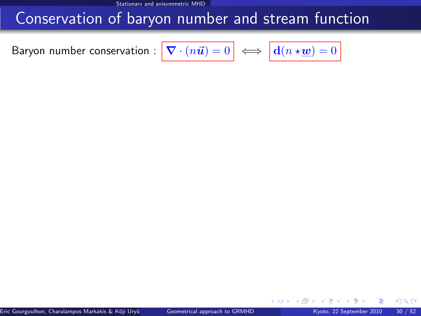#### Conservation of baryon number and stream function

<span id="page-36-0"></span>Baryon number conservation :

$$
\boxed{\boldsymbol{\nabla}\cdot(n\vec{\boldsymbol{u}})=0} \iff \boxed{\mathbf{d}(n\star\underline{\boldsymbol{w}})=0}
$$

 $\Omega$ 

<span id="page-36-1"></span>**← ロ ▶ → イ 同**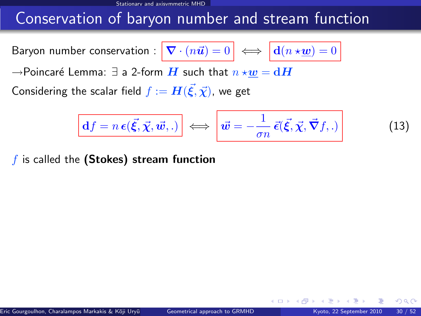#### Conservation of baryon number and stream function

Baryon number conservation :  $\nabla$ 

$$
\mathbf{I} \cdot (n\vec{u}) = 0 \iff \boxed{\mathbf{d}(n \star \underline{w}) = 0}
$$

 $\rightarrow$ Poincaré Lemma: ∃ a 2-form  $H$  such that  $n \star w = dH$ 

Considering the scalar field  $f:=\bm{H}(\vec{\bm{\xi}},\vec{\bm{\chi}})$ , we get

$$
\overline{\mathbf{d}f = n\,\boldsymbol{\epsilon}(\vec{\xi}, \vec{\chi}, \vec{w}, .)}\n\iff\n\overrightarrow{\boldsymbol{w}} = -\frac{1}{\sigma n}\,\vec{\epsilon}(\vec{\xi}, \vec{\chi}, \vec{\nabla}f, .)
$$
\n(13)

4 0 8

 $f$  is called the (Stokes) stream function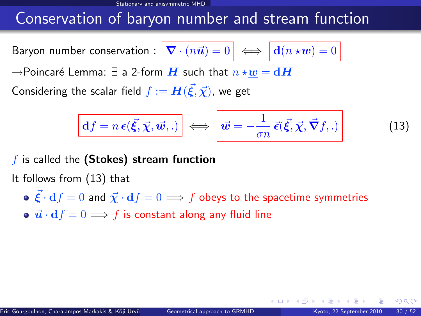#### Conservation of baryon number and stream function

Baryon number conservation :  $\nabla$ 

$$
\mathbf{I} \cdot (n\vec{u}) = 0 \iff \boxed{\mathbf{d}(n \star \underline{\boldsymbol{w}})} = 0
$$

 $\rightarrow$ Poincaré Lemma:  $\exists$  a 2-form  $\boldsymbol{H}$  such that  $n \star \boldsymbol{w} = \mathbf{d}\boldsymbol{H}$ 

Considering the scalar field  $f:=\bm{H}(\vec{\bm{\xi}},\vec{\bm{\chi}})$ , we get

$$
\boxed{\mathbf{d}f = n\,\boldsymbol{\epsilon}(\vec{\xi}, \vec{\chi}, \vec{\boldsymbol{w}},.)} \iff \boxed{\vec{\boldsymbol{w}} = -\frac{1}{\sigma n}\,\vec{\epsilon}(\vec{\xi}, \vec{\chi}, \vec{\nabla}f,.)}
$$
(13)

 $f$  is called the (Stokes) stream function

It follows from [\(13\)](#page-36-0) that

- $\vec{\xi} \cdot df = 0$  and  $\vec{\chi} \cdot df = 0 \implies f$  obeys to the spacetime symmetries
- $\vec{u} \cdot df = 0 \Longrightarrow f$  is constant along any fluid line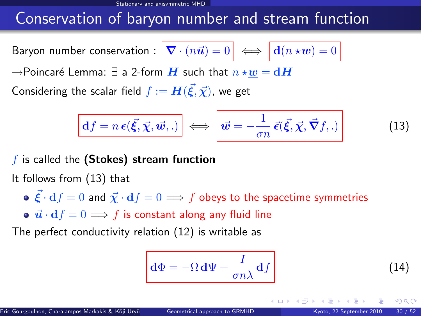### Conservation of baryon number and stream function

Baryon number conservation :  $\nabla$ 

$$
\mathbf{C} \cdot (n\vec{u}) = 0 \iff \boxed{\mathbf{d}(n \star \underline{\boldsymbol{w}})} = 0
$$

 $\rightarrow$ Poincaré Lemma:  $\exists$  a 2-form  $\boldsymbol{H}$  such that  $n \star \boldsymbol{w} = \mathbf{d}\boldsymbol{H}$ 

Considering the scalar field  $f:=\bm{H}(\vec{\bm{\xi}},\vec{\bm{\chi}})$ , we get

$$
\boxed{\mathbf{d}f = n\,\boldsymbol{\epsilon}(\vec{\xi}, \vec{\chi}, \vec{\boldsymbol{w}},.)} \iff \boxed{\vec{\boldsymbol{w}} = -\frac{1}{\sigma n}\,\vec{\epsilon}(\vec{\xi}, \vec{\chi}, \vec{\boldsymbol{\nabla}}f,.)} \tag{13}
$$

 $f$  is called the (Stokes) stream function

It follows from [\(13\)](#page-36-0) that

•  $\vec{\mathcal{E}} \cdot d f = 0$  and  $\vec{\chi} \cdot d f = 0 \Longrightarrow f$  obeys to the spacetime symmetries

•  $\vec{u} \cdot df = 0 \Longrightarrow f$  is constant along any fluid line

The perfect conductivity relation [\(12\)](#page-35-0) is writable as

$$
\mathbf{d}\Phi = -\Omega \,\mathbf{d}\Psi + \frac{I}{\sigma n\lambda} \,\mathbf{d}f \tag{14}
$$

 $\Omega$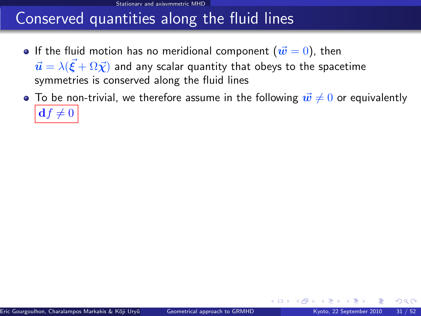#### Conserved quantities along the fluid lines

- **If the fluid motion has no meridional component (** $\vec{w} = 0$ **), then**  $\vec{\bm{u}}=\lambda(\vec{\bm{\xi}}+\Omega\vec{\bm{\chi}})$  and any scalar quantity that obeys to the spacetime symmetries is conserved along the fluid lines
- <span id="page-40-0"></span> $\bullet$  To be non-trivial, we therefore assume in the following  $\vec{w} \neq 0$  or equivalently  $df \neq 0$

 $\Omega$ 

**←ロ ▶ ← イ 同 →**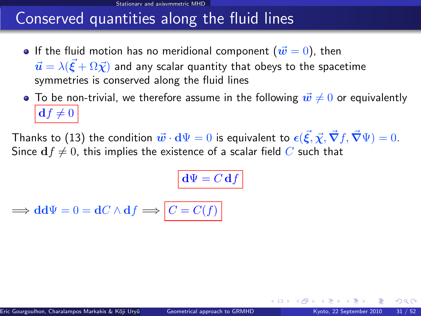#### Conserved quantities along the fluid lines

- **If the fluid motion has no meridional component (** $\vec{w} = 0$ **), then**  $\vec{\bm{u}}=\lambda(\vec{\bm{\xi}}+\Omega\vec{\bm{\chi}})$  and any scalar quantity that obeys to the spacetime symmetries is conserved along the fluid lines
- $\bullet$  To be non-trivial, we therefore assume in the following  $\vec{w} \neq 0$  or equivalently  $df \neq 0$

Thanks to [\(13\)](#page-36-0) the condition  $\vec w\cdot{\rm d}\Psi=0$  is equivalent to  $\epsilon(\vec\xi,\vec\chi,\vec\nabla f,\vec\nabla\Psi)=0.$ Since  $df \neq 0$ , this implies the existence of a scalar field C such that

$$
\mathbf{d}\Psi = C \, \mathbf{d}f
$$

$$
\implies \mathbf{d} \mathbf{d} \Psi = 0 = \mathbf{d} C \wedge \mathbf{d} f \implies C = C(f)
$$

 $\Omega$ 

**←ロ ▶ ← イ 同 →**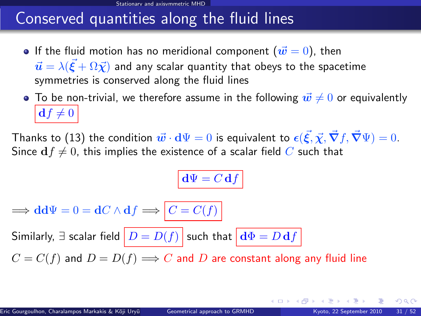#### Conserved quantities along the fluid lines

- **If the fluid motion has no meridional component (** $\vec{w} = 0$ **), then**  $\vec{\bm{u}}=\lambda(\vec{\bm{\xi}}+\Omega\vec{\bm{\chi}})$  and any scalar quantity that obeys to the spacetime symmetries is conserved along the fluid lines
- $\bullet$  To be non-trivial, we therefore assume in the following  $\vec{w} \neq 0$  or equivalently  $df \neq 0$

Thanks to [\(13\)](#page-36-0) the condition  $\vec w\cdot{\rm d}\Psi=0$  is equivalent to  $\epsilon(\vec\xi,\vec\chi,\vec\nabla f,\vec\nabla\Psi)=0.$ Since  $df \neq 0$ , this implies the existence of a scalar field C such that

$$
\mathbf{d}\Psi = C \, \mathbf{d}f
$$

 $\Rightarrow$  dd $\Psi = 0 = dC \wedge df \Rightarrow |C = C(f)|$ 

Similarly,  $\exists$  scalar field  $\boxed{D = D(f)}$  such that  $\boxed{\mathbf{d}\Phi = D\,\mathbf{d}f}$ 

 $C = C(f)$  and  $D = D(f) \Longrightarrow C$  and D are constant along any fluid line

 $\Omega$ 

イロト イ押 トイヨ トイヨ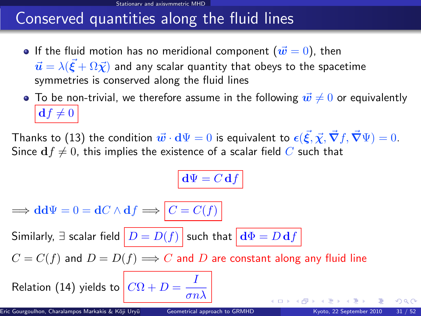# Conserved quantities along the fluid lines

- **If the fluid motion has no meridional component (** $\vec{w} = 0$ **), then**  $\vec{\bm{u}}=\lambda(\vec{\bm{\xi}}+\Omega\vec{\bm{\chi}})$  and any scalar quantity that obeys to the spacetime symmetries is conserved along the fluid lines
- $\bullet$  To be non-trivial, we therefore assume in the following  $\vec{w} \neq 0$  or equivalently  $df \neq 0$

Thanks to [\(13\)](#page-36-0) the condition  $\vec w\cdot{\rm d}\Psi=0$  is equivalent to  $\epsilon(\vec\xi,\vec\chi,\vec\nabla f,\vec\nabla\Psi)=0.$ Since  $df \neq 0$ , this implies the existence of a scalar field C such that

$$
\mathbf{d}\Psi = C \, \mathbf{d}f
$$

 $\implies dd\Psi = 0 = dC \wedge df \implies C = C(f)$ Similarly,  $\exists$  scalar field  $\boxed{D = D(f)}$  such that  $\boxed{\mathbf{d}\Phi = D\,\mathbf{d}f}$  $C = C(f)$  and  $D = D(f) \Longrightarrow C$  and D are constant along any fluid line Relation [\(14\)](#page-36-1) yields to  $\boxed{C\Omega+D} = \frac{I}{\sqrt{2\pi}}$ 

 $\sigma n \lambda$ 

 $\Omega$ 

**K ロ ⊁ K 伊 ⊁ K 毛**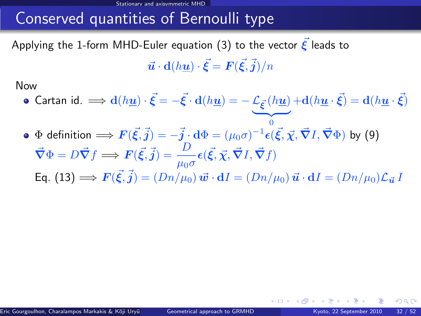### Conserved quantities of Bernoulli type

Applying the 1-form MHD-Euler equation [\(3\)](#page-16-0) to the vector  $\boldsymbol{\xi}$  leads to  $\vec{\bm{u}}\cdot \mathbf{d}(h\underline{\bm{u}})\cdot \vec{\bm{\xi}} = \bm{F}(\vec{\bm{\xi}},\vec{j})/n$ 

Now

- Cartan id.  $\implies$   $\mathbf{d}(h\underline{\mathbf{u}})\cdot\vec{\boldsymbol{\xi}}=-\vec{\boldsymbol{\xi}}\cdot\mathbf{d}(h\underline{\mathbf{u}})=-\mathcal{L}_{\vec{\boldsymbol{\xi}}}(h\underline{\mathbf{u}})+\mathbf{d}(h\underline{\mathbf{u}}\cdot\vec{\boldsymbol{\xi}})=\mathbf{d}(h\underline{\mathbf{u}}\cdot\vec{\boldsymbol{\xi}})$  $\overline{\hspace{1cm}}$  0
- <span id="page-44-1"></span> $\Phi$  definition  $\Longrightarrow F(\vec{\xi},\vec{j})=-\vec{j}\cdot \mathrm{d}\Phi=(\mu_0\sigma)^{-1}\bm{\epsilon}(\vec{\xi},\vec{\chi},\vec{\bm{\nabla}}I,\vec{\bm{\nabla}}\Phi)$  by [\(9\)](#page-30-0)  $\vec{\nabla}\Phi = D\vec{\nabla}f \Longrightarrow \bm{F}(\vec{\xi},\vec{j}) = \frac{D}{\mu_0\sigma}\epsilon(\vec{\xi},\vec{\chi},\vec{\nabla}I,\vec{\nabla}f)$ Eq.  $(13) \Longrightarrow \bm{F}(\vec{\xi},\vec{j}) = (Dn/\mu_0) \, \vec{\bm{w}} \cdot \mathbf{d}I = (Dn/\mu_0) \, \vec{\bm{u}} \cdot \mathbf{d}I = (Dn/\mu_0) \mathcal{L}_{\vec{\bm{u}}} \, I$  $(13) \Longrightarrow \bm{F}(\vec{\xi},\vec{j}) = (Dn/\mu_0) \, \vec{\bm{w}} \cdot \mathbf{d}I = (Dn/\mu_0) \, \vec{\bm{u}} \cdot \mathbf{d}I = (Dn/\mu_0) \mathcal{L}_{\vec{\bm{u}}} \, I$

<span id="page-44-0"></span> $\cap$   $\cap$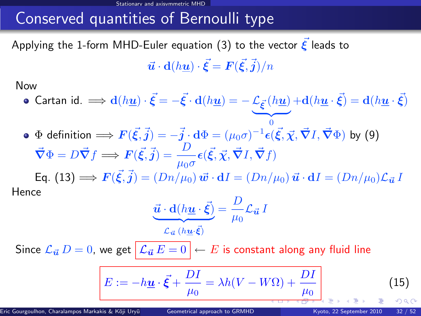#### Conserved quantities of Bernoulli type

Applying the 1-form MHD-Euler equation [\(3\)](#page-16-0) to the vector  $\boldsymbol{\xi}$  leads to  $\vec{\bm{u}}\cdot \mathbf{d}(h\underline{\bm{u}})\cdot \vec{\bm{\xi}} = \bm{F}(\vec{\bm{\xi}},\vec{j})/n$ 

Now

- Cartan id.  $\implies$   $\mathbf{d}(h\underline{\mathbf{u}})\cdot\vec{\boldsymbol{\xi}}=-\vec{\boldsymbol{\xi}}\cdot\mathbf{d}(h\underline{\mathbf{u}})=-\mathcal{L}_{\vec{\boldsymbol{\xi}}}(h\underline{\mathbf{u}})+\mathbf{d}(h\underline{\mathbf{u}}\cdot\vec{\boldsymbol{\xi}})=\mathbf{d}(h\underline{\mathbf{u}}\cdot\vec{\boldsymbol{\xi}})$  $\overline{\hspace{1cm}}$  0
- $\Phi$  definition  $\Longrightarrow F(\vec{\xi},\vec{j})=-\vec{j}\cdot \mathrm{d}\Phi=(\mu_0\sigma)^{-1}\bm{\epsilon}(\vec{\xi},\vec{\chi},\vec{\bm{\nabla}}I,\vec{\bm{\nabla}}\Phi)$  by [\(9\)](#page-30-0)  $\vec{\nabla}\Phi = D\vec{\nabla}f \Longrightarrow \bm{F}(\vec{\xi},\vec{j}) = \frac{D}{\mu_0\sigma}\epsilon(\vec{\xi},\vec{\chi},\vec{\nabla}I,\vec{\nabla}f)$

Eq.  $(13) \Longrightarrow \bm{F}(\vec{\xi},\vec{j}) = (Dn/\mu_0) \, \vec{\bm{w}} \cdot \mathbf{d}I = (Dn/\mu_0) \, \vec{\bm{u}} \cdot \mathbf{d}I = (Dn/\mu_0) \mathcal{L}_{\vec{\bm{u}}} \, I$  $(13) \Longrightarrow \bm{F}(\vec{\xi},\vec{j}) = (Dn/\mu_0) \, \vec{\bm{w}} \cdot \mathbf{d}I = (Dn/\mu_0) \, \vec{\bm{u}} \cdot \mathbf{d}I = (Dn/\mu_0) \mathcal{L}_{\vec{\bm{u}}} \, I$ Hence

<span id="page-45-0"></span>
$$
\underbrace{\vec{u} \cdot d(h\underline{u} \cdot \vec{\xi})}_{\mathcal{L}_{\vec{u}}(h\underline{u} \cdot \vec{\xi})} = \frac{D}{\mu_0} \mathcal{L}_{\vec{u}} I
$$

Since  $\mathcal{L}_{\vec{u}} D = 0$ , we get  $\mathcal{L}_{\vec{u}} E = 0 \rightarrow E$  is constant along any fluid line

$$
E := -h\underline{u} \cdot \vec{\xi} + \frac{DI}{\mu_0} = \lambda h(V - W\Omega) + \frac{DI}{\mu_0} \tag{15}
$$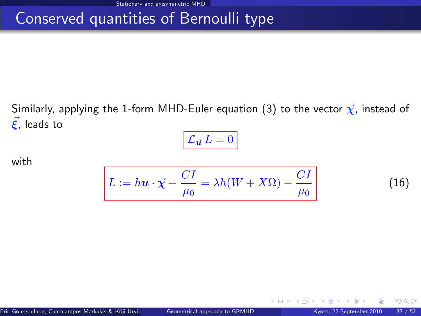#### Conserved quantities of Bernoulli type

Similarly, applying the 1-form MHD-Euler equation [\(3\)](#page-16-0) to the vector  $\vec{\chi}$ , instead of  $\vec{\xi}$ , leads to

$$
\mathcal{L}_{\vec{u}} L = 0
$$

with

<span id="page-46-1"></span>
$$
L := h\underline{u} \cdot \vec{\chi} - \frac{CI}{\mu_0} = \lambda h(W + X\Omega) - \frac{CI}{\mu_0}
$$
 (16)

**←ロ ▶ ← イ 同 →** 

<span id="page-46-0"></span> $\Omega$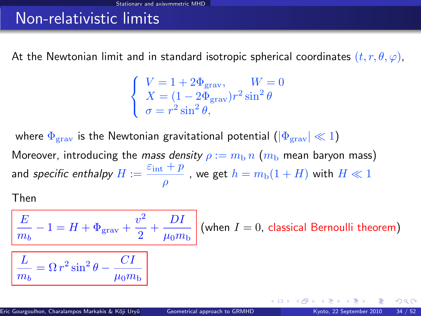#### Non-relativistic limits

At the Newtonian limit and in standard isotropic spherical coordinates  $(t, r, \theta, \varphi)$ ,

$$
\begin{cases}\nV = 1 + 2\Phi_{\text{grav}}, & W = 0 \\
X = (1 - 2\Phi_{\text{grav}})r^2 \sin^2 \theta \\
\sigma = r^2 \sin^2 \theta,\n\end{cases}
$$

where  $\Phi_{\text{grav}}$  is the Newtonian gravitational potential  $(|\Phi_{\text{grav}}| \ll 1)$ Moreover, introducing the mass density  $\rho := m_b n$  ( $m_b$  mean baryon mass) and *specific enthalpy*  $H := \frac{\varepsilon_{\rm int} + p}{\varepsilon_{\rm int}}$  $\frac{p^+ + p^-}{\rho}$  , we get  $h = m_{\rm b}(1 + H)$  with  $H \ll 1$ 

Then

 $m_b$ 

$$
\boxed{\frac{E}{m_b} - 1 = H + \Phi_{\text{grav}} + \frac{v^2}{2} + \frac{DI}{\mu_0 m_b}}
$$
 (when  $I = 0$ , classical Bernoulli theorem)  

$$
\boxed{\frac{L}{\frac{L}{m_b} = \Omega r^2 \sin^2 \theta - \frac{CI}{\frac{I}{m_b}}}}
$$

 $\mu_0 m_\mathrm{b}$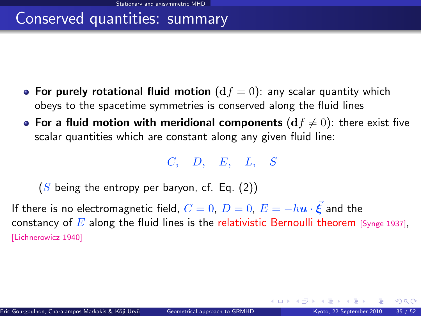#### Conserved quantities: summary

- For purely rotational fluid motion  $(df = 0)$ : any scalar quantity which obeys to the spacetime symmetries is conserved along the fluid lines
- For a fluid motion with meridional components  $(df \neq 0)$ : there exist five scalar quantities which are constant along any given fluid line:

C, D, E, L, S

 $(S$  being the entropy per baryon, cf. Eq.  $(2)$ )

If there is no electromagnetic field,  $C=0, \, D=0, \, E=-h\underline{u}\cdot\vec{\xi}$  and the constancy of E along the fluid lines is the relativistic Bernoulli theorem [\[Synge 1937\]](#page-0-1), [\[Lichnerowicz 1940\]](#page-0-1)

 $\Omega$ 

**K ロ ト K 何 ト K 日**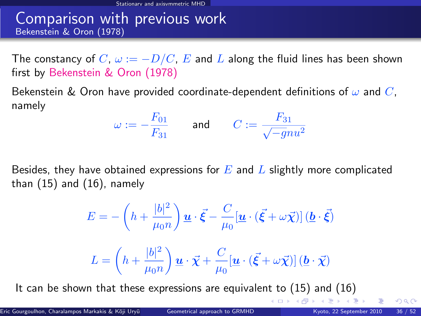#### Comparison with previous work Bekenstein & Oron (1978)

The constancy of C,  $\omega := -D/C$ , E and L along the fluid lines has been shown first by Bekenstein & Oron (1978)

Bekenstein & Oron have provided coordinate-dependent definitions of  $\omega$  and C, namely

$$
\omega:=-\frac{F_{01}}{F_{31}}\qquad\text{and}\qquad C:=\frac{F_{31}}{\sqrt{-g}nu^2}
$$

Besides, they have obtained expressions for  $E$  and  $L$  slightly more complicated than [\(15\)](#page-44-1) and [\(16\)](#page-46-1), namely

$$
E = -\left(h + \frac{|b|^2}{\mu_0 n}\right) \underline{u} \cdot \vec{\xi} - \frac{C}{\mu_0} \left[\underline{u} \cdot (\vec{\xi} + \omega \vec{\chi})\right] \left(\underline{b} \cdot \vec{\xi}\right)
$$

$$
L = \left(h + \frac{|b|^2}{\mu_0 n}\right) \underline{u} \cdot \vec{\chi} + \frac{C}{\mu_0} \left[\underline{u} \cdot (\vec{\xi} + \omega \vec{\chi})\right] \left(\underline{b} \cdot \vec{\chi}\right)
$$

It can be shown that these expressions are equivalent to  $(15)$  and  $(16)$ 

<span id="page-49-0"></span> $\Omega$ 

メロメ メ御き メミメ メミメ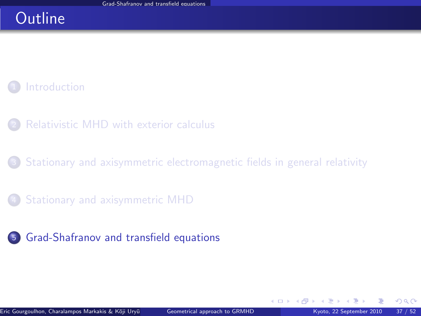#### **Outline**

#### **[Introduction](#page-3-0)**

- [Relativistic MHD with exterior calculus](#page-8-0)
- [Stationary and axisymmetric electromagnetic fields in general relativity](#page-18-0)
- <sup>4</sup> [Stationary and axisymmetric MHD](#page-32-0)
- <sup>5</sup> [Grad-Shafranov and transfield equations](#page-50-0)

<span id="page-50-0"></span> $\Omega$ 

**←ロ ▶ ← イ 同 →**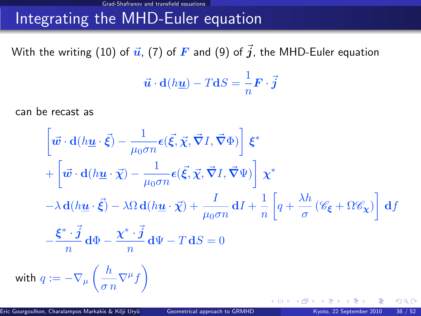# Integrating the MHD-Euler equation

With the writing [\(10\)](#page-33-0) of  $\vec{u}$ , [\(7\)](#page-27-0) of  $\vec{F}$  and [\(9\)](#page-30-0) of  $\vec{j}$ , the MHD-Euler equation

$$
\vec{\boldsymbol{u}}\cdot\mathbf{d}(h\underline{\boldsymbol{u}})-T\mathbf{d}S=\frac{1}{n}\boldsymbol{F}\cdot\vec{\boldsymbol{j}}
$$

can be recast as

$$
\begin{aligned}\n\left[\vec{w}\cdot\mathbf{d}(h\underline{u}\cdot\vec{\xi}) - \frac{1}{\mu_0\sigma n}\epsilon(\vec{\xi},\vec{\chi},\vec{\nabla}I,\vec{\nabla}\Phi)\right]\xi^* \\
+ \left[\vec{w}\cdot\mathbf{d}(h\underline{u}\cdot\vec{\chi}) - \frac{1}{\mu_0\sigma n}\epsilon(\vec{\xi},\vec{\chi},\vec{\nabla}I,\vec{\nabla}\Psi)\right]\chi^* \\
-\lambda\,\mathbf{d}(h\underline{u}\cdot\vec{\xi}) - \lambda\Omega\,\mathbf{d}(h\underline{u}\cdot\vec{\chi}) + \frac{I}{\mu_0\sigma n}\,\mathbf{d}I + \frac{1}{n}\left[q + \frac{\lambda h}{\sigma}\left(\mathscr{C}_{\xi} + \Omega\mathscr{C}_{\chi}\right)\right]\,\mathbf{d}f \\
-\frac{\xi^*\cdot\vec{j}}{n}\,\mathbf{d}\Phi - \frac{\chi^*\cdot\vec{j}}{n}\,\mathbf{d}\Psi - T\,\mathbf{d}S = 0 \\
q:= -\nabla_{\mu}\left(\frac{h}{\sigma n}\nabla^{\mu}f\right)\n\end{aligned}
$$

with

**← ロ ▶ → イ 同 →** 

 $QQ$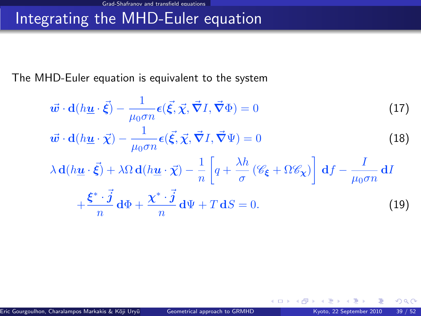## Integrating the MHD-Euler equation

The MHD-Euler equation is equivalent to the system

$$
\vec{\boldsymbol{w}} \cdot \mathbf{d}(h\underline{\boldsymbol{u}} \cdot \vec{\boldsymbol{\xi}}) - \frac{1}{\mu_0 \sigma n} \boldsymbol{\epsilon}(\vec{\boldsymbol{\xi}}, \vec{\boldsymbol{\chi}}, \vec{\boldsymbol{\nabla}} I, \vec{\boldsymbol{\nabla}} \Phi) = 0 \tag{17}
$$

$$
\vec{\boldsymbol{w}} \cdot \mathbf{d}(h\underline{\boldsymbol{u}} \cdot \vec{\boldsymbol{\chi}}) - \frac{1}{\mu_0 \sigma n} \boldsymbol{\epsilon}(\vec{\xi}, \vec{\boldsymbol{\chi}}, \vec{\boldsymbol{\nabla}} I, \vec{\boldsymbol{\nabla}} \Psi) = 0
$$
\n(18)

$$
\lambda \mathbf{d}(h\underline{\mathbf{u}} \cdot \vec{\xi}) + \lambda \Omega \mathbf{d}(h\underline{\mathbf{u}} \cdot \vec{\chi}) - \frac{1}{n} \left[ q + \frac{\lambda h}{\sigma} \left( \mathscr{C}_{\xi} + \Omega \mathscr{C}_{\chi} \right) \right] \mathbf{d}f - \frac{I}{\mu_0 \sigma n} \mathbf{d}I
$$

$$
+ \frac{\xi^* \cdot \vec{j}}{n} \mathbf{d}\Phi + \frac{\chi^* \cdot \vec{j}}{n} \mathbf{d}\Psi + T \mathbf{d}S = 0.
$$
 (19)

<span id="page-52-2"></span><span id="page-52-1"></span><span id="page-52-0"></span>**←ロ ▶ ← イ 同 →** 

 $299$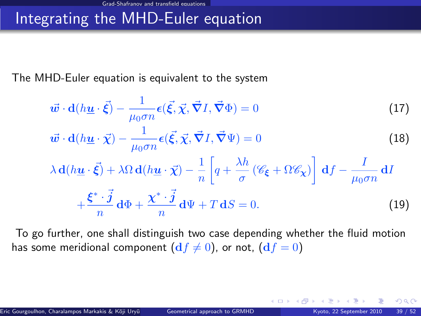#### Integrating the MHD-Euler equation

The MHD-Euler equation is equivalent to the system

$$
\vec{\boldsymbol{w}} \cdot \mathbf{d}(h\underline{\boldsymbol{u}} \cdot \vec{\boldsymbol{\xi}}) - \frac{1}{\mu_0 \sigma n} \boldsymbol{\epsilon}(\vec{\boldsymbol{\xi}}, \vec{\boldsymbol{\chi}}, \vec{\boldsymbol{\nabla}} I, \vec{\boldsymbol{\nabla}} \Phi) = 0 \tag{17}
$$

$$
\vec{\boldsymbol{w}} \cdot \mathbf{d}(h\underline{\boldsymbol{u}} \cdot \vec{\boldsymbol{\chi}}) - \frac{1}{\mu_0 \sigma n} \boldsymbol{\epsilon}(\vec{\xi}, \vec{\boldsymbol{\chi}}, \vec{\boldsymbol{\nabla}} I, \vec{\boldsymbol{\nabla}} \Psi) = 0
$$
\n(18)

$$
\lambda \mathbf{d}(h\underline{\mathbf{u}} \cdot \vec{\xi}) + \lambda \Omega \mathbf{d}(h\underline{\mathbf{u}} \cdot \vec{\chi}) - \frac{1}{n} \left[ q + \frac{\lambda h}{\sigma} \left( \mathscr{C}_{\xi} + \Omega \mathscr{C}_{\chi} \right) \right] \mathbf{d}f - \frac{I}{\mu_0 \sigma n} \mathbf{d}I
$$

$$
+ \frac{\xi^* \cdot \vec{j}}{n} \mathbf{d}\Phi + \frac{\chi^* \cdot \vec{j}}{n} \mathbf{d}\Psi + T \mathbf{d}S = 0.
$$
 (19)

To go further, one shall distinguish two case depending whether the fluid motion has some meridional component  $(df \neq 0)$ , or not,  $(df = 0)$ 

 $\Omega$ 

**4 ロ ト 4 何 ト 4**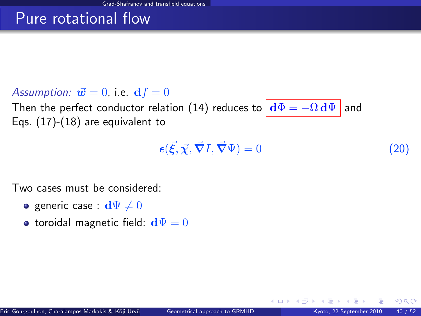#### Pure rotational flow

#### Assumption:  $\vec{\bf w}=0$ , i.e.  ${\bf d}f=0$

Then the perfect conductor relation [\(14\)](#page-36-1) reduces to  $\left|\frac{d\Phi}{d\phi}\right| = -\Omega \frac{d\Psi}{d\phi}$  and Eqs. [\(17\)](#page-52-0)-[\(18\)](#page-52-1) are equivalent to

<span id="page-54-0"></span>
$$
\epsilon(\vec{\xi}, \vec{\chi}, \vec{\nabla}I, \vec{\nabla}\Psi) = 0 \tag{20}
$$

**← ロ ▶ → イ 同** 

Two cases must be considered:

- **•** generic case :  $d\Psi \neq 0$
- toroidal magnetic field:  $d\Psi = 0$

 $\Omega$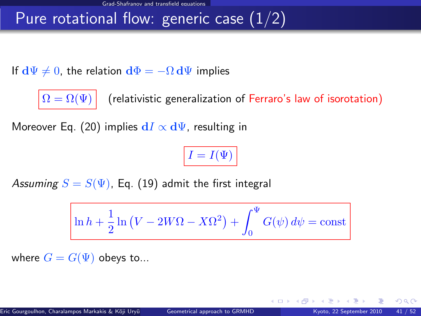#### Pure rotational flow: generic case  $(1/2)$

If  $d\Psi \neq 0$ , the relation  $d\Phi = -\Omega d\Psi$  implies



 $\boxed{\Omega = \Omega(\Psi)}$  (relativistic generalization of Ferraro's law of isorotation)

Moreover Eq. [\(20\)](#page-54-0) implies  $dI \propto d\Psi$ , resulting in

 $I = I(\Psi)$ 

Assuming  $S = S(\Psi)$ , Eq. [\(19\)](#page-52-2) admit the first integral

$$
\ln h + \frac{1}{2}\ln\left(V - 2W\Omega - X\Omega^2\right) + \int_0^{\Psi} G(\psi) d\psi = \mathrm{const}
$$

where  $G = G(\Psi)$  obeys to...

 $\Omega$ 

**← ロ ▶ → イ 同**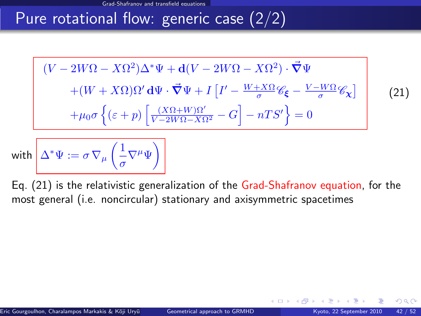#### Pure rotational flow: generic case (2/2)

<span id="page-56-0"></span>
$$
(V - 2W\Omega - X\Omega^2)\Delta^* \Psi + \mathbf{d}(V - 2W\Omega - X\Omega^2) \cdot \vec{\nabla}\Psi
$$

$$
+ (W + X\Omega)\Omega' \mathbf{d}\Psi \cdot \vec{\nabla}\Psi + I \left[ I' - \frac{W + X\Omega}{\sigma} \mathcal{C}_\xi - \frac{V - W\Omega}{\sigma} \mathcal{C}_\chi \right]
$$

$$
+ \mu_0 \sigma \left\{ (\varepsilon + p) \left[ \frac{(X\Omega + W)\Omega'}{V - 2W\Omega - X\Omega^2} - G \right] - nTS' \right\} = 0
$$
(21)

with  $\Delta^*\Psi:=\sigma\,\nabla_{\mu}\left(\frac{1}{\sigma}\right)$  $\frac{1}{\sigma}\nabla^{\mu}\Psi\bigg)$ 

Eq. [\(21\)](#page-56-0) is the relativistic generalization of the Grad-Shafranov equation, for the most general (i.e. noncircular) stationary and axisymmetric spacetimes

 $\Omega$ 

◂<del>◻▸ кฅ</del>▸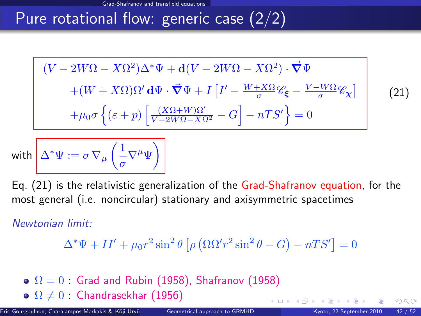### Pure rotational flow: generic case (2/2)

$$
(V - 2W\Omega - X\Omega^2)\Delta^* \Psi + \mathbf{d}(V - 2W\Omega - X\Omega^2) \cdot \vec{\nabla}\Psi
$$

$$
+ (W + X\Omega)\Omega' \mathbf{d}\Psi \cdot \vec{\nabla}\Psi + I \left[ I' - \frac{W + X\Omega}{\sigma} \mathcal{C}_{\xi} - \frac{V - W\Omega}{\sigma} \mathcal{C}_{\chi} \right]
$$

$$
+ \mu_0 \sigma \left\{ (\varepsilon + p) \left[ \frac{(X\Omega + W)\Omega'}{V - 2W\Omega - X\Omega^2} - G \right] - nTS' \right\} = 0
$$

with  $\Delta^*\Psi:=\sigma\,\nabla_{\mu}\left(\frac{1}{\sigma}\right)$  $\frac{1}{\sigma}\nabla^{\mu}\Psi\bigg)$ 

Eq. [\(21\)](#page-56-0) is the relativistic generalization of the Grad-Shafranov equation, for the most general (i.e. noncircular) stationary and axisymmetric spacetimes

#### Newtonian limit:

$$
\Delta^* \Psi + II' + \mu_0 r^2 \sin^2 \theta \left[ \rho \left( \Omega \Omega' r^2 \sin^2 \theta - G \right) - nTS' \right] = 0
$$

 $\Omega = 0$  Grad and Rubin (1958), Shafranov (1958)  $\bullet$   $\Omega \neq 0$  : Chandrasekhar (1956) **←ロ ▶ ← イ 同 →**  (21)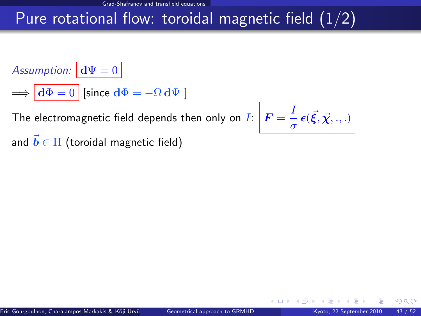### Pure rotational flow: toroidal magnetic field  $(1/2)$

Assumption:  $\mathbf{d}\Psi = 0$ 

 $\Rightarrow$   $\left| d\Phi = 0 \right|$  [since  $d\Phi = -\Omega d\Psi$  ]

The electromagnetic field depends then only on  $I$ 

$$
: \left[ \boldsymbol{F} = \frac{I}{\sigma} \boldsymbol{\epsilon}(\vec{\xi}, \vec{\chi}, ., .) \right]
$$

**← ロ ▶ → イ 同** 

and  $\vec{b} \in \Pi$  (toroidal magnetic field)

 $\Omega$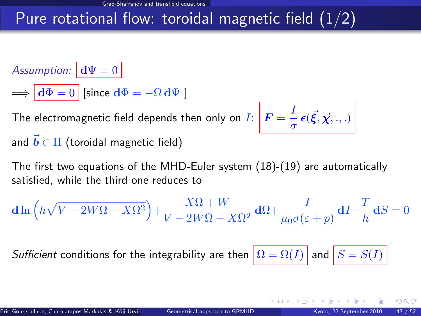### Pure rotational flow: toroidal magnetic field  $(1/2)$

Assumption:  $\mathbf{d}\Psi = 0$ 

 $\Rightarrow \overline{d\Phi} = 0$  [since  $d\Phi = -\Omega d\Psi$  ]

The electromagnetic field depends then only on  $I\colon \mathcal{\bigr|} \bm{F} = \frac{I}{I}$  $\frac{1}{\sigma}\epsilon(\vec{\xi},\vec{\chi},.,.)$ and  $\vec{b} \in \Pi$  (toroidal magnetic field)

The first two equations of the MHD-Euler system [\(18\)](#page-52-1)-[\(19\)](#page-52-2) are automatically satisfied, while the third one reduces to

$$
\mathbf{d}\ln\left(h\sqrt{V-2W\Omega-X\Omega^2}\right)+\frac{X\Omega+W}{V-2W\Omega-X\Omega^2}\,\mathbf{d}\Omega+\frac{I}{\mu_0\sigma(\varepsilon+p)}\,\mathbf{d}I-\frac{T}{h}\,\mathbf{d}S=0
$$

Sufficient conditions for the integrability are then  $\left|\Omega = \Omega(I)\right|$  and  $\left|S = S(I)\right|$ 

 $\Omega$ 

**← ロ ▶ → イ 同**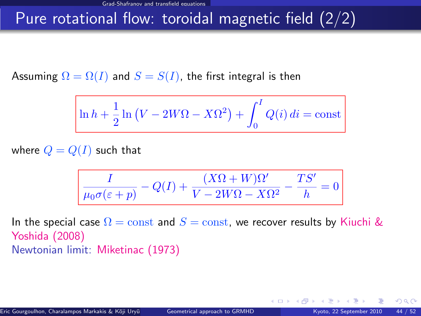#### Pure rotational flow: toroidal magnetic field (2/2)

Assuming  $\Omega = \Omega(I)$  and  $S = S(I)$ , the first integral is then

$$
\ln h + \frac{1}{2}\ln\left(V - 2W\Omega - X\Omega^2\right) + \int_0^I Q(i) \, di = \mathrm{const}
$$

where  $Q = Q(I)$  such that

$$
\frac{I}{\mu_0\sigma(\varepsilon+p)}-Q(I)+\frac{(X\Omega+W)\Omega'}{V-2W\Omega-X\Omega^2}-\frac{TS'}{h}=0
$$

In the special case  $\Omega = \text{const}$  and  $S = \text{const}$ , we recover results by Kiuchi & Yoshida (2008) Newtonian limit: Miketinac (1973)

**← ロ ▶ → イ 同 →**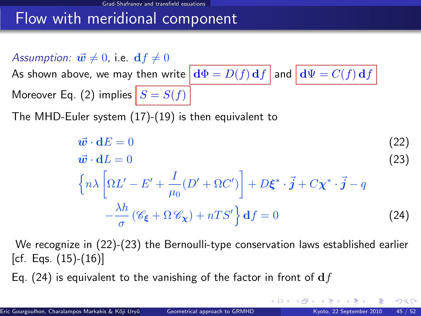#### Flow with meridional component

Assumption:  $\vec{w} \neq 0$ , i.e.  $df \neq 0$ 

As shown [above,](#page-40-0) we may then write  $\left|\mathbf{d}\Phi = D(f)\mathbf{d}f\right|$  and  $\left|\mathbf{d}\Psi = C(f)\mathbf{d}f\right|$ Moreover Eq. [\(2\)](#page-16-1) implies  $|S = S(f)|$ 

The MHD-Euler system [\(17\)](#page-52-0)-[\(19\)](#page-52-2) is then equivalent to

<span id="page-61-1"></span><span id="page-61-0"></span>
$$
\vec{w} \cdot dE = 0
$$
\n
$$
\vec{w} \cdot dL = 0
$$
\n(22)\n
$$
\left\{ n\lambda \left[ \Omega L' - E' + \frac{I}{\mu_0} (D' + \Omega C') \right] + D\xi^* \cdot \vec{j} + C\chi^* \cdot \vec{j} - q \right\}
$$
\n
$$
-\frac{\lambda h}{\sigma} (\mathscr{C}_{\xi} + \Omega \mathscr{C}_{\chi}) + nTS' \right\} df = 0
$$
\n(24)

We recognize in [\(22\)](#page-61-0)-[\(23\)](#page-61-1) the Bernoulli-type conservation laws established earlier [cf. Eqs. [\(15\)](#page-44-1)-[\(16\)](#page-46-1)]

Eq. [\(24\)](#page-61-2) is equivalent to the vanishing of the factor in front of  $df$ 

 $\Omega$ 

<span id="page-61-2"></span>**K ロ ▶ K 何 ▶ K 手**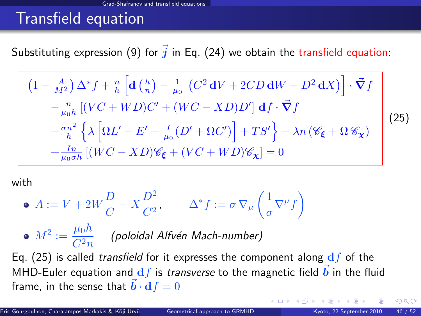#### Transfield equation

Substituting expression [\(9\)](#page-30-0) for  $\vec{j}$  in Eq. [\(24\)](#page-61-2) we obtain the transfield equation:

<span id="page-62-0"></span>
$$
(1 - \frac{A}{M^2}) \Delta^* f + \frac{n}{h} \left[ \mathbf{d} \left( \frac{h}{n} \right) - \frac{1}{\mu_0} \left( C^2 \mathbf{d} V + 2CD \mathbf{d} W - D^2 \mathbf{d} X \right) \right] \cdot \vec{\nabla} f
$$
  
\n
$$
- \frac{n}{\mu_0 h} \left[ (VC + WD)C' + (WC - XD)D' \right] \mathbf{d} f \cdot \vec{\nabla} f
$$
  
\n
$$
+ \frac{\sigma n^2}{h} \left\{ \lambda \left[ \Omega L' - E' + \frac{I}{\mu_0} (D' + \Omega C') \right] + TS' \right\} - \lambda n \left( \mathcal{C}_{\xi} + \Omega \mathcal{C}_{\chi} \right)
$$
  
\n
$$
+ \frac{I_n}{\mu_0 \sigma h} \left[ (WC - XD) \mathcal{C}_{\xi} + (VC + WD) \mathcal{C}_{\chi} \right] = 0
$$
\n(25)

with

• 
$$
A := V + 2W\frac{D}{C} - X\frac{D^2}{C^2}
$$
,  $\Delta^* f := \sigma \nabla_\mu \left(\frac{1}{\sigma} \nabla^\mu f\right)$ 

 $M^2 := \frac{\mu_0 h}{G^2}$  $\frac{F^{0,2}}{C^2n}$  (poloidal Alfvén Mach-number)

Eq. [\(25\)](#page-62-0) is called transfield for it expresses the component along  $df$  of the MHD-Euler equation and  $df$  is transverse to the magnetic field  $\vec{b}$  in the fluid frame, in the sense that  $\vec{b} \cdot df = 0$ 

<span id="page-62-1"></span> $\Omega$ 

**K ロ ト K 何 ト K 目**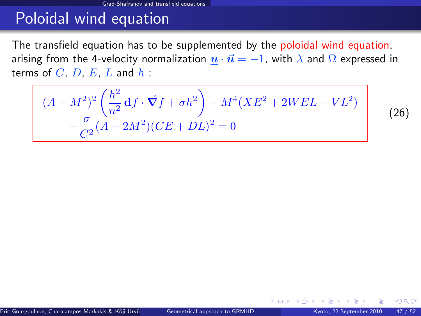### Poloidal wind equation

The transfield equation has to be supplemented by the poloidal wind equation, arising from the 4-velocity normalization  $\underline{u} \cdot \overrightarrow{u} = -1$ , with  $\lambda$  and  $\Omega$  expressed in terms of  $C$ ,  $D$ ,  $E$ ,  $L$  and  $h$  :

<span id="page-63-1"></span>
$$
(A - M^{2})^{2} \left(\frac{h^{2}}{n^{2}} df \cdot \vec{\nabla} f + \sigma h^{2}\right) - M^{4} (X E^{2} + 2 W E L - V L^{2})
$$

$$
-\frac{\sigma}{C^{2}} (A - 2M^{2})(CE + DL)^{2} = 0
$$

(26)

<span id="page-63-0"></span> $\Omega$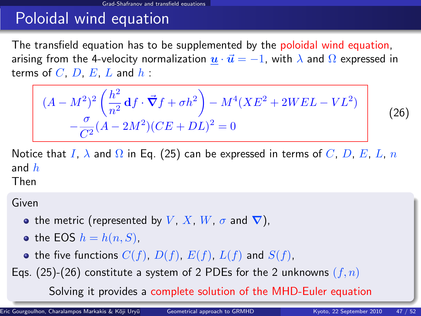# Poloidal wind equation

The transfield equation has to be supplemented by the poloidal wind equation, arising from the 4-velocity normalization  $\underline{u} \cdot \overrightarrow{u} = -1$ , with  $\lambda$  and  $\Omega$  expressed in terms of  $C$ ,  $D$ ,  $E$ ,  $L$  and  $h$  :

$$
(A - M^{2})^{2} \left(\frac{h^{2}}{n^{2}} \mathbf{d}f \cdot \vec{\nabla}f + \sigma h^{2}\right) - M^{4}(XE^{2} + 2WEL - VL^{2}) - \frac{\sigma}{C^{2}}(A - 2M^{2})(CE + DL)^{2} = 0
$$

Notice that I,  $\lambda$  and  $\Omega$  in Eq. [\(25\)](#page-62-0) can be expressed in terms of C, D, E, L, n and  $h$ 

Then

Given

- the metric (represented by V, X, W,  $\sigma$  and  $\nabla$ ),
- the EOS  $h = h(n, S)$ ,
- the five functions  $C(f)$ ,  $D(f)$ ,  $E(f)$ ,  $L(f)$  and  $S(f)$ ,
- Eqs. [\(25\)](#page-62-0)-[\(26\)](#page-63-1) constitute a system of 2 PDEs for the 2 unknowns  $(f, n)$

Solving it provides a complete solution of the [M](#page-63-0)[H](#page-65-0)[D](#page-62-1)[-](#page-63-0)[E](#page-64-0)[ul](#page-65-0)[er](#page-49-0)[eq](#page-72-0)[ua](#page-49-0)[t](#page-50-0)[io](#page-72-0)[n](#page-0-0)

<span id="page-64-0"></span>(26)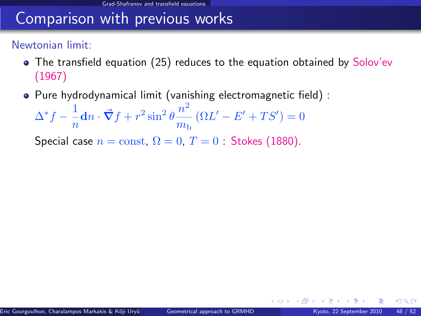#### Comparison with previous works

#### Newtonian limit:

- The transfield equation [\(25\)](#page-62-0) reduces to the equation obtained by Solov'ev (1967)
- Pure hydrodynamical limit (vanishing electromagnetic field) :

$$
\Delta^* f - \frac{1}{n} \mathbf{d} n \cdot \vec{\nabla} f + r^2 \sin^2 \theta \frac{n^2}{m_b} \left( \Omega L' - E' + TS' \right) = 0
$$

Special case  $n =$ const,  $\Omega = 0$ ,  $T = 0$  : Stokes (1880).

<span id="page-65-0"></span> $\Omega$ 

**←ロ ▶ ← イ 同 →**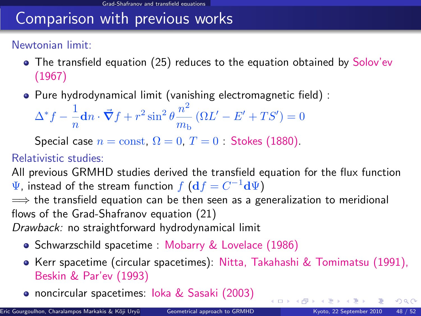### Comparison with previous works

#### Newtonian limit:

- The transfield equation [\(25\)](#page-62-0) reduces to the equation obtained by Solov'ev (1967)
- Pure hydrodynamical limit (vanishing electromagnetic field) :

$$
\Delta^* f - \frac{1}{n} \mathbf{d} n \cdot \vec{\nabla} f + r^2 \sin^2 \theta \frac{n^2}{m_b} \left( \Omega L' - E' + TS' \right) = 0
$$

Special case  $n = \text{const}$ ,  $\Omega = 0$ ,  $T = 0$  · Stokes (1880).

#### Relativistic studies:

All previous GRMHD studies derived the transfield equation for the flux function  $\Psi$ , instead of the stream function  $f\left(\mathbf{d} f = C^{-1} \mathbf{d} \Psi\right)$ 

 $\implies$  the transfield equation can be then seen as a generalization to meridional flows of the Grad-Shafranov equation [\(21\)](#page-56-0)

Drawback: no straightforward hydrodynamical limit

- Schwarzschild spacetime : Mobarry & Lovelace (1986)
- **Kerr spacetime (circular spacetimes): Nitta, Takahashi & Tomimatsu (1991),** Beskin & Par'ev (1993)
- noncircular spacetimes: Ioka & Sasaki (2003)

 $QQ$ 

 $\left\{ \begin{array}{ccc} 1 & 0 & 0 \\ 0 & 1 & 0 \end{array} \right.$   $\left\{ \begin{array}{ccc} 0 & 0 & 0 \\ 0 & 0 & 0 \end{array} \right.$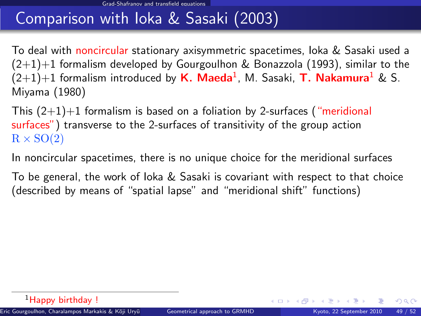# Comparison with Ioka & Sasaki (2003)

To deal with noncircular stationary axisymmetric spacetimes, Ioka & Sasaki used a  $(2+1)+1$  formalism developed by Gourgoulhon & Bonazzola (1993), similar to the  $(2{+}1){+}1$  formalism introduced by  $\boldsymbol{\mathsf{K}}.\; \boldsymbol{\mathsf{M}}$ aeda $^1$ , M. Sasaki,  $\boldsymbol{\mathsf{T}}.\; \boldsymbol{\mathsf{N}}$ akamura $^1$  & S. Miyama (1980)

This  $(2+1)+1$  formalism is based on a foliation by 2-surfaces ("meridional surfaces") transverse to the 2-surfaces of transitivity of the group action  $R \times SO(2)$ 

In noncircular spacetimes, there is no unique choice for the meridional surfaces

To be general, the work of loka  $&$  Sasaki is covariant with respect to that choice (described by means of "spatial lapse" and "meridional shift" functions)

 $\Omega$ 

**K ロ ▶ K 御 ▶ K 舌**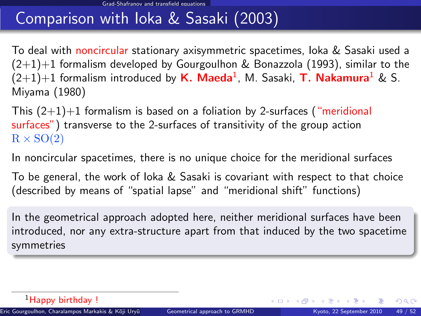# Comparison with Ioka & Sasaki (2003)

To deal with noncircular stationary axisymmetric spacetimes, Ioka & Sasaki used a  $(2+1)+1$  formalism developed by Gourgoulhon & Bonazzola (1993), similar to the  $(2{+}1){+}1$  formalism introduced by  $\boldsymbol{\mathsf{K}}.\; \boldsymbol{\mathsf{M}}$ aeda $^1$ , M. Sasaki,  $\boldsymbol{\mathsf{T}}.\; \boldsymbol{\mathsf{N}}$ akamura $^1$  & S. Miyama (1980)

This  $(2+1)+1$  formalism is based on a foliation by 2-surfaces ("meridional surfaces") transverse to the 2-surfaces of transitivity of the group action  $R \times SO(2)$ 

In noncircular spacetimes, there is no unique choice for the meridional surfaces

To be general, the work of loka  $&$  Sasaki is covariant with respect to that choice (described by means of "spatial lapse" and "meridional shift" functions)

In the geometrical approach adopted here, neither meridional surfaces have been introduced, nor any extra-structure apart from that induced by the two spacetime symmetries

 $QQ$ 

メロト メ御 トメ きょ メきょ

<sup>&</sup>lt;sup>1</sup>Happy birthday !

Eric Gourgoulhon, Charalampos Markakis & K¯oji Ury¯u () [Geometrical approach to GRMHD](#page-0-0) Kyoto, 22 September 2010 49 / 52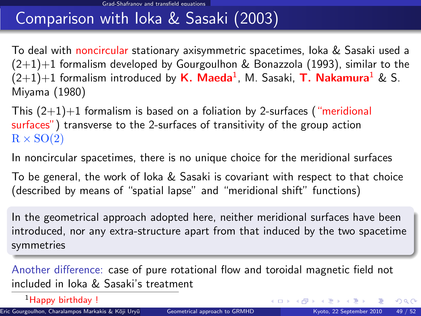# Comparison with Ioka & Sasaki (2003)

To deal with noncircular stationary axisymmetric spacetimes, Ioka & Sasaki used a  $(2+1)+1$  formalism developed by Gourgoulhon & Bonazzola (1993), similar to the  $(2{+}1){+}1$  formalism introduced by  $\boldsymbol{\mathsf{K}}.\; \boldsymbol{\mathsf{M}}$ aeda $^1$ , M. Sasaki,  $\boldsymbol{\mathsf{T}}.\; \boldsymbol{\mathsf{N}}$ akamura $^1$  & S. Miyama (1980)

This  $(2+1)+1$  formalism is based on a foliation by 2-surfaces ("meridional surfaces") transverse to the 2-surfaces of transitivity of the group action  $R \times SO(2)$ 

In noncircular spacetimes, there is no unique choice for the meridional surfaces

To be general, the work of Ioka & Sasaki is covariant with respect to that choice (described by means of "spatial lapse" and "meridional shift" functions)

In the geometrical approach adopted here, neither meridional surfaces have been introduced, nor any extra-structure apart from that induced by the two spacetime symmetries

Another difference: case of pure rotational flow and toroidal magnetic field not included in Ioka & Sasaki's treatment

<sup>1</sup>Happy birthday !

 $QQ$ 

メロト メ御 トメ きょ メきょ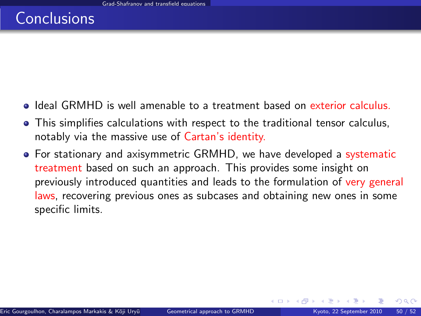- Ideal GRMHD is well amenable to a treatment based on exterior calculus.
- This simplifies calculations with respect to the traditional tensor calculus, notably via the massive use of Cartan's identity.
- For stationary and axisymmetric GRMHD, we have developed a systematic treatment based on such an approach. This provides some insight on previously introduced quantities and leads to the formulation of very general laws, recovering previous ones as subcases and obtaining new ones in some specific limits.

 $\Omega$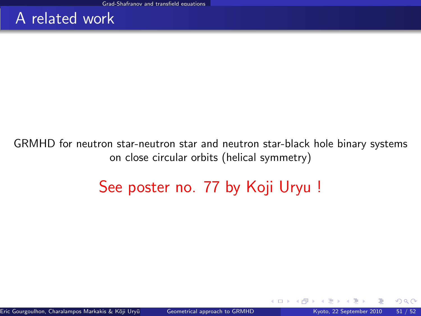#### A related work

#### GRMHD for neutron star-neutron star and neutron star-black hole binary systems on close circular orbits (helical symmetry)

# See poster no. 77 by Koji Uryu !

 $\Omega$ 

**←ロ ▶ ← イ 同 →**